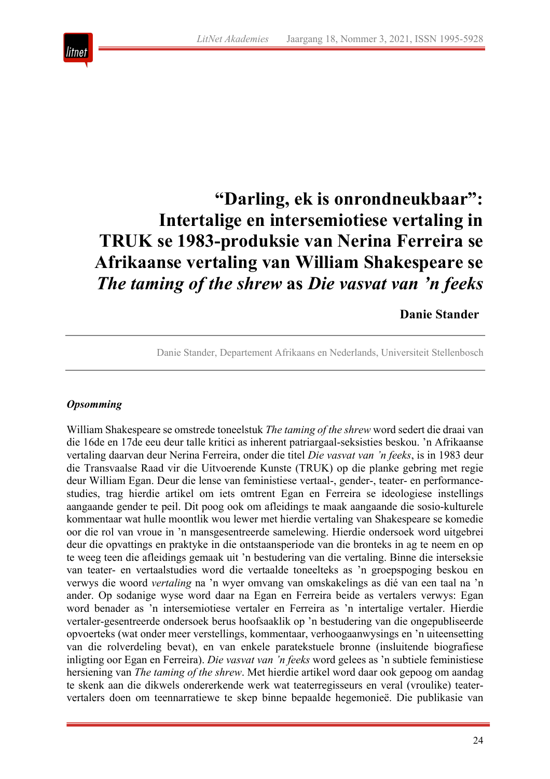

# **"Darling, ek is onrondneukbaar": Intertalige en intersemiotiese vertaling in TRUK se 1983-produksie van Nerina Ferreira se Afrikaanse vertaling van William Shakespeare se**  *The taming of the shrew* **as** *Die vasvat van 'n feeks*

# **Danie Stander**

Danie Stander, Departement Afrikaans en Nederlands, Universiteit Stellenbosch

#### *Opsomming*

William Shakespeare se omstrede toneelstuk *The taming of the shrew* word sedert die draai van die 16de en 17de eeu deur talle kritici as inherent patriargaal-seksisties beskou. 'n Afrikaanse vertaling daarvan deur Nerina Ferreira, onder die titel *Die vasvat van 'n feeks*, is in 1983 deur die Transvaalse Raad vir die Uitvoerende Kunste (TRUK) op die planke gebring met regie deur William Egan. Deur die lense van feministiese vertaal-, gender-, teater- en performancestudies, trag hierdie artikel om iets omtrent Egan en Ferreira se ideologiese instellings aangaande gender te peil. Dit poog ook om afleidings te maak aangaande die sosio-kulturele kommentaar wat hulle moontlik wou lewer met hierdie vertaling van Shakespeare se komedie oor die rol van vroue in 'n mansgesentreerde samelewing. Hierdie ondersoek word uitgebrei deur die opvattings en praktyke in die ontstaansperiode van die bronteks in ag te neem en op te weeg teen die afleidings gemaak uit 'n bestudering van die vertaling. Binne die interseksie van teater- en vertaalstudies word die vertaalde toneelteks as 'n groepspoging beskou en verwys die woord *vertaling* na 'n wyer omvang van omskakelings as dié van een taal na 'n ander. Op sodanige wyse word daar na Egan en Ferreira beide as vertalers verwys: Egan word benader as 'n intersemiotiese vertaler en Ferreira as 'n intertalige vertaler. Hierdie vertaler-gesentreerde ondersoek berus hoofsaaklik op 'n bestudering van die ongepubliseerde opvoerteks (wat onder meer verstellings, kommentaar, verhoogaanwysings en 'n uiteensetting van die rolverdeling bevat), en van enkele paratekstuele bronne (insluitende biografiese inligting oor Egan en Ferreira). *Die vasvat van 'n feeks* word gelees as 'n subtiele feministiese hersiening van *The taming of the shrew*. Met hierdie artikel word daar ook gepoog om aandag te skenk aan die dikwels ondererkende werk wat teaterregisseurs en veral (vroulike) teatervertalers doen om teennarratiewe te skep binne bepaalde hegemonieë. Die publikasie van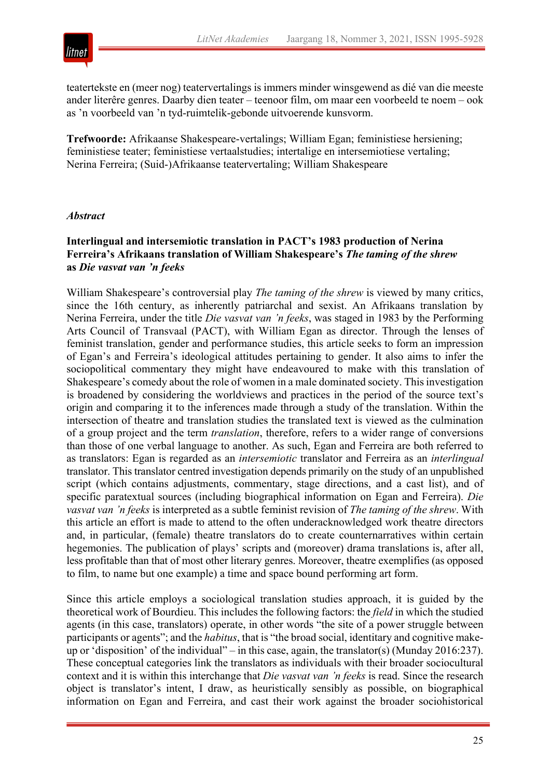

teatertekste en (meer nog) teatervertalings is immers minder winsgewend as dié van die meeste ander literêre genres. Daarby dien teater – teenoor film, om maar een voorbeeld te noem – ook as 'n voorbeeld van 'n tyd-ruimtelik-gebonde uitvoerende kunsvorm.

**Trefwoorde:** Afrikaanse Shakespeare-vertalings; William Egan; feministiese hersiening; feministiese teater; feministiese vertaalstudies; intertalige en intersemiotiese vertaling; Nerina Ferreira; (Suid-)Afrikaanse teatervertaling; William Shakespeare

#### *Abstract*

#### **Interlingual and intersemiotic translation in PACT's 1983 production of Nerina Ferreira's Afrikaans translation of William Shakespeare's** *The taming of the shrew* **as** *Die vasvat van 'n feeks*

William Shakespeare's controversial play *The taming of the shrew* is viewed by many critics, since the 16th century, as inherently patriarchal and sexist. An Afrikaans translation by Nerina Ferreira, under the title *Die vasvat van 'n feeks*, was staged in 1983 by the Performing Arts Council of Transvaal (PACT), with William Egan as director. Through the lenses of feminist translation, gender and performance studies, this article seeks to form an impression of Egan's and Ferreira's ideological attitudes pertaining to gender. It also aims to infer the sociopolitical commentary they might have endeavoured to make with this translation of Shakespeare's comedy about the role of women in a male dominated society. This investigation is broadened by considering the worldviews and practices in the period of the source text's origin and comparing it to the inferences made through a study of the translation. Within the intersection of theatre and translation studies the translated text is viewed as the culmination of a group project and the term *translation*, therefore, refers to a wider range of conversions than those of one verbal language to another. As such, Egan and Ferreira are both referred to as translators: Egan is regarded as an *intersemiotic* translator and Ferreira as an *interlingual*  translator. This translator centred investigation depends primarily on the study of an unpublished script (which contains adjustments, commentary, stage directions, and a cast list), and of specific paratextual sources (including biographical information on Egan and Ferreira). *Die vasvat van 'n feeks* is interpreted as a subtle feminist revision of *The taming of the shrew*. With this article an effort is made to attend to the often underacknowledged work theatre directors and, in particular, (female) theatre translators do to create counternarratives within certain hegemonies. The publication of plays' scripts and (moreover) drama translations is, after all, less profitable than that of most other literary genres. Moreover, theatre exemplifies (as opposed to film, to name but one example) a time and space bound performing art form.

Since this article employs a sociological translation studies approach, it is guided by the theoretical work of Bourdieu. This includes the following factors: the *field* in which the studied agents (in this case, translators) operate, in other words "the site of a power struggle between participants or agents"; and the *habitus*, that is "the broad social, identitary and cognitive makeup or 'disposition' of the individual" – in this case, again, the translator(s) (Munday 2016:237). These conceptual categories link the translators as individuals with their broader sociocultural context and it is within this interchange that *Die vasvat van 'n feeks* is read. Since the research object is translator's intent, I draw, as heuristically sensibly as possible, on biographical information on Egan and Ferreira, and cast their work against the broader sociohistorical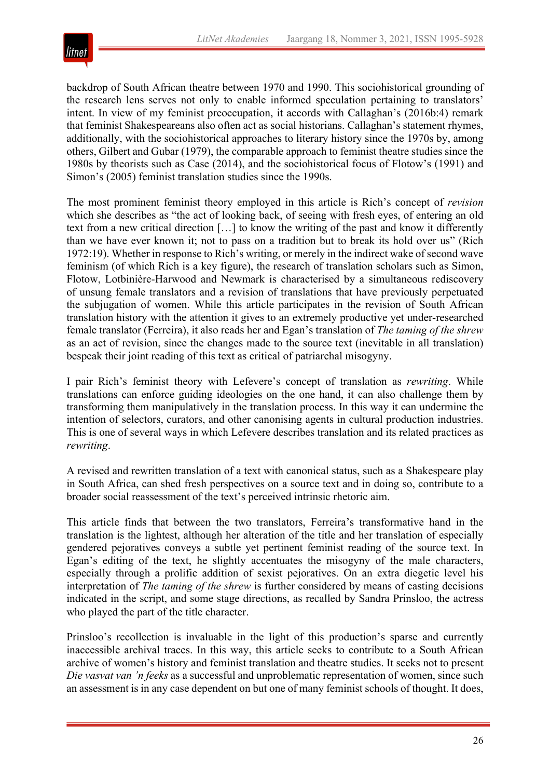

backdrop of South African theatre between 1970 and 1990. This sociohistorical grounding of the research lens serves not only to enable informed speculation pertaining to translators' intent. In view of my feminist preoccupation, it accords with Callaghan's (2016b:4) remark that feminist Shakespeareans also often act as social historians. Callaghan's statement rhymes, additionally, with the sociohistorical approaches to literary history since the 1970s by, among others, Gilbert and Gubar (1979), the comparable approach to feminist theatre studies since the 1980s by theorists such as Case (2014), and the sociohistorical focus of Flotow's (1991) and Simon's (2005) feminist translation studies since the 1990s.

The most prominent feminist theory employed in this article is Rich's concept of *revision* which she describes as "the act of looking back, of seeing with fresh eyes, of entering an old text from a new critical direction […] to know the writing of the past and know it differently than we have ever known it; not to pass on a tradition but to break its hold over us" (Rich 1972:19). Whether in response to Rich's writing, or merely in the indirect wake of second wave feminism (of which Rich is a key figure), the research of translation scholars such as Simon, Flotow, Lotbinière-Harwood and Newmark is characterised by a simultaneous rediscovery of unsung female translators and a revision of translations that have previously perpetuated the subjugation of women. While this article participates in the revision of South African translation history with the attention it gives to an extremely productive yet under-researched female translator (Ferreira), it also reads her and Egan's translation of *The taming of the shrew*  as an act of revision, since the changes made to the source text (inevitable in all translation) bespeak their joint reading of this text as critical of patriarchal misogyny.

I pair Rich's feminist theory with Lefevere's concept of translation as *rewriting*. While translations can enforce guiding ideologies on the one hand, it can also challenge them by transforming them manipulatively in the translation process. In this way it can undermine the intention of selectors, curators, and other canonising agents in cultural production industries. This is one of several ways in which Lefevere describes translation and its related practices as *rewriting*.

A revised and rewritten translation of a text with canonical status, such as a Shakespeare play in South Africa, can shed fresh perspectives on a source text and in doing so, contribute to a broader social reassessment of the text's perceived intrinsic rhetoric aim.

This article finds that between the two translators, Ferreira's transformative hand in the translation is the lightest, although her alteration of the title and her translation of especially gendered pejoratives conveys a subtle yet pertinent feminist reading of the source text. In Egan's editing of the text, he slightly accentuates the misogyny of the male characters, especially through a prolific addition of sexist pejoratives. On an extra diegetic level his interpretation of *The taming of the shrew* is further considered by means of casting decisions indicated in the script, and some stage directions, as recalled by Sandra Prinsloo, the actress who played the part of the title character.

Prinsloo's recollection is invaluable in the light of this production's sparse and currently inaccessible archival traces. In this way, this article seeks to contribute to a South African archive of women's history and feminist translation and theatre studies. It seeks not to present *Die vasvat van 'n feeks* as a successful and unproblematic representation of women, since such an assessment is in any case dependent on but one of many feminist schools of thought. It does,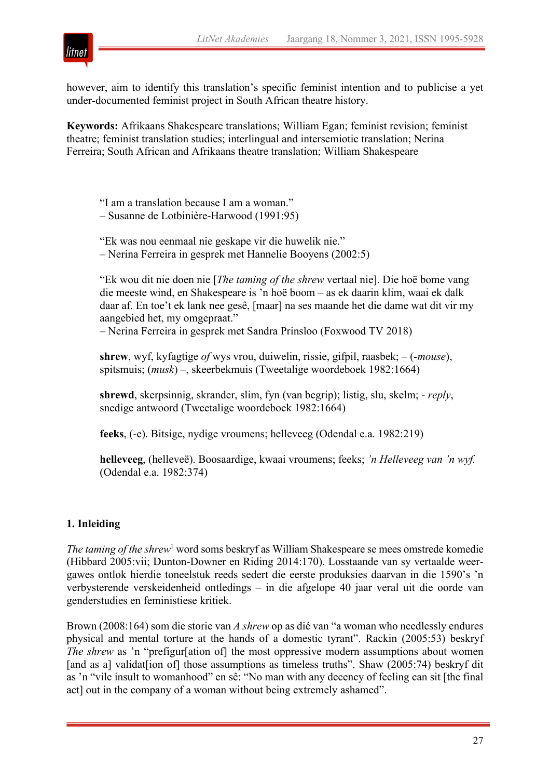

however, aim to identify this translation's specific feminist intention and to publicise a yet under-documented feminist project in South African theatre history.

**Keywords:** Afrikaans Shakespeare translations; William Egan; feminist revision; feminist theatre; feminist translation studies; interlingual and intersemiotic translation; Nerina Ferreira; South African and Afrikaans theatre translation; William Shakespeare

"I am a translation because I am a woman." – Susanne de Lotbinière-Harwood (1991:95)

"Ek was nou eenmaal nie geskape vir die huwelik nie." – Nerina Ferreira in gesprek met Hannelie Booyens (2002:5)

"Ek wou dit nie doen nie [*The taming of the shrew* vertaal nie]. Die hoë bome vang die meeste wind, en Shakespeare is 'n hoë boom – as ek daarin klim, waai ek dalk daar af. En toe't ek lank nee gesê, [maar] na ses maande het die dame wat dit vir my aangebied het, my omgepraat."

– Nerina Ferreira in gesprek met Sandra Prinsloo (Foxwood TV 2018)

**shrew**, wyf, kyfagtige *of* wys vrou, duiwelin, rissie, gifpil, raasbek; – (*-mouse*), spitsmuis; (*musk*) –, skeerbekmuis (Tweetalige woordeboek 1982:1664)

**shrewd**, skerpsinnig, skrander, slim, fyn (van begrip); listig, slu, skelm; - *reply*, snedige antwoord (Tweetalige woordeboek 1982:1664)

**feeks**, (-e). Bitsige, nydige vroumens; helleveeg (Odendal e.a. 1982:219)

**helleveeg**, (helleveë). Boosaardige, kwaai vroumens; feeks; *'n Helleveeg van 'n wyf.*  (Odendal e.a. 1982:374)

# **1. Inleiding**

*The taming of the shrew*<sup>1</sup> word soms beskryf as William Shakespeare se mees omstrede komedie (Hibbard 2005:vii; Dunton-Downer en Riding 2014:170). Losstaande van sy vertaalde weergawes ontlok hierdie toneelstuk reeds sedert die eerste produksies daarvan in die 1590's 'n verbysterende verskeidenheid ontledings – in die afgelope 40 jaar veral uit die oorde van genderstudies en feministiese kritiek.

Brown (2008:164) som die storie van *A shrew* op as dié van "a woman who needlessly endures physical and mental torture at the hands of a domestic tyrant". Rackin (2005:53) beskryf *The shrew* as 'n "prefigur[ation of] the most oppressive modern assumptions about women [and as a] validat [ion of] those assumptions as timeless truths". Shaw (2005:74) beskryf dit as 'n "vile insult to womanhood" en sê: "No man with any decency of feeling can sit [the final act] out in the company of a woman without being extremely ashamed".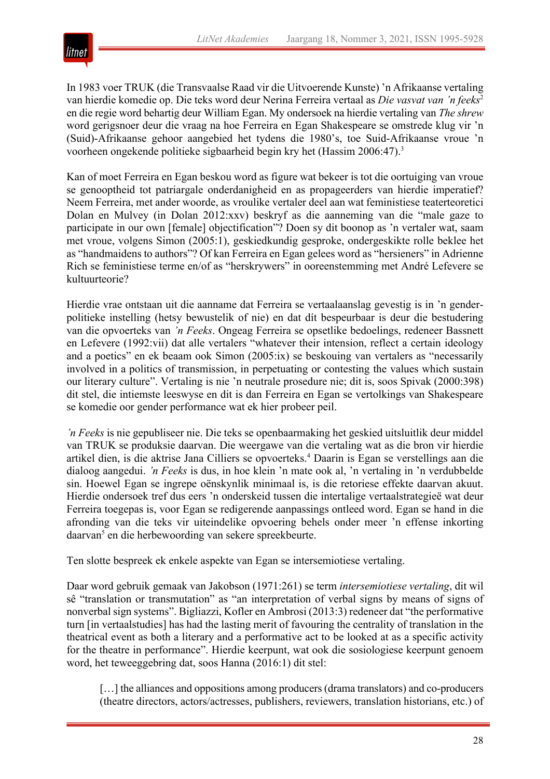

In 1983 voer TRUK (die Transvaalse Raad vir die Uitvoerende Kunste) 'n Afrikaanse vertaling van hierdie komedie op. Die teks word deur Nerina Ferreira vertaal as *Die vasvat van 'n feeks*<sup>2</sup> en die regie word behartig deur William Egan. My ondersoek na hierdie vertaling van *The shrew* word gerigsnoer deur die vraag na hoe Ferreira en Egan Shakespeare se omstrede klug vir 'n (Suid)-Afrikaanse gehoor aangebied het tydens die 1980's, toe Suid-Afrikaanse vroue 'n voorheen ongekende politieke sigbaarheid begin kry het (Hassim 2006:47).3

Kan of moet Ferreira en Egan beskou word as figure wat bekeer is tot die oortuiging van vroue se genooptheid tot patriargale onderdanigheid en as propageerders van hierdie imperatief? Neem Ferreira, met ander woorde, as vroulike vertaler deel aan wat feministiese teaterteoretici Dolan en Mulvey (in Dolan 2012:xxv) beskryf as die aanneming van die "male gaze to participate in our own [female] objectification"? Doen sy dit boonop as 'n vertaler wat, saam met vroue, volgens Simon (2005:1), geskiedkundig gesproke, ondergeskikte rolle beklee het as "handmaidens to authors"? Of kan Ferreira en Egan gelees word as "hersieners" in Adrienne Rich se feministiese terme en/of as "herskrywers" in ooreenstemming met André Lefevere se kultuurteorie?

Hierdie vrae ontstaan uit die aanname dat Ferreira se vertaalaanslag gevestig is in 'n genderpolitieke instelling (hetsy bewustelik of nie) en dat dít bespeurbaar is deur die bestudering van die opvoerteks van *'n Feeks*. Ongeag Ferreira se opsetlike bedoelings, redeneer Bassnett en Lefevere (1992:vii) dat alle vertalers "whatever their intension, reflect a certain ideology and a poetics" en ek beaam ook Simon (2005:ix) se beskouing van vertalers as "necessarily involved in a politics of transmission, in perpetuating or contesting the values which sustain our literary culture". Vertaling is nie 'n neutrale prosedure nie; dit is, soos Spivak (2000:398) dit stel, die intiemste leeswyse en dit is dan Ferreira en Egan se vertolkings van Shakespeare se komedie oor gender performance wat ek hier probeer peil.

*'n Feeks* is nie gepubliseer nie. Die teks se openbaarmaking het geskied uitsluitlik deur middel van TRUK se produksie daarvan. Die weergawe van die vertaling wat as die bron vir hierdie artikel dien, is die aktrise Jana Cilliers se opvoerteks.4 Daarin is Egan se verstellings aan die dialoog aangedui. *'n Feeks* is dus, in hoe klein 'n mate ook al, 'n vertaling in 'n verdubbelde sin. Hoewel Egan se ingrepe oënskynlik minimaal is, is die retoriese effekte daarvan akuut. Hierdie ondersoek tref dus eers 'n onderskeid tussen die intertalige vertaalstrategieë wat deur Ferreira toegepas is, voor Egan se redigerende aanpassings ontleed word. Egan se hand in die afronding van die teks vir uiteindelike opvoering behels onder meer 'n effense inkorting daarvan<sup>5</sup> en die herbewoording van sekere spreekbeurte.

Ten slotte bespreek ek enkele aspekte van Egan se intersemiotiese vertaling.

Daar word gebruik gemaak van Jakobson (1971:261) se term *intersemiotiese vertaling*, dit wil sê "translation or transmutation" as "an interpretation of verbal signs by means of signs of nonverbal sign systems". Bigliazzi, Kofler en Ambrosi (2013:3) redeneer dat "the performative turn [in vertaalstudies] has had the lasting merit of favouring the centrality of translation in the theatrical event as both a literary and a performative act to be looked at as a specific activity for the theatre in performance". Hierdie keerpunt, wat ook die sosiologiese keerpunt genoem word, het teweeggebring dat, soos Hanna (2016:1) dit stel:

[…] the alliances and oppositions among producers (drama translators) and co-producers (theatre directors, actors/actresses, publishers, reviewers, translation historians, etc.) of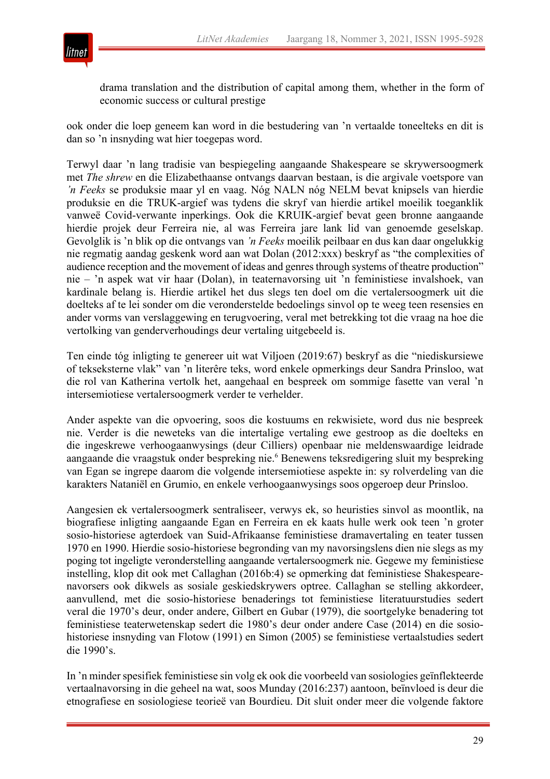

drama translation and the distribution of capital among them, whether in the form of economic success or cultural prestige

ook onder die loep geneem kan word in die bestudering van 'n vertaalde toneelteks en dit is dan so 'n insnyding wat hier toegepas word.

Terwyl daar 'n lang tradisie van bespiegeling aangaande Shakespeare se skrywersoogmerk met *The shrew* en die Elizabethaanse ontvangs daarvan bestaan, is die argivale voetspore van *'n Feeks* se produksie maar yl en vaag. Nóg NALN nóg NELM bevat knipsels van hierdie produksie en die TRUK-argief was tydens die skryf van hierdie artikel moeilik toeganklik vanweë Covid-verwante inperkings. Ook die KRUIK-argief bevat geen bronne aangaande hierdie projek deur Ferreira nie, al was Ferreira jare lank lid van genoemde geselskap. Gevolglik is 'n blik op die ontvangs van *'n Feeks* moeilik peilbaar en dus kan daar ongelukkig nie regmatig aandag geskenk word aan wat Dolan (2012:xxx) beskryf as "the complexities of audience reception and the movement of ideas and genres through systems of theatre production" nie – 'n aspek wat vir haar (Dolan), in teaternavorsing uit 'n feministiese invalshoek, van kardinale belang is. Hierdie artikel het dus slegs ten doel om die vertalersoogmerk uit die doelteks af te lei sonder om die veronderstelde bedoelings sinvol op te weeg teen resensies en ander vorms van verslaggewing en terugvoering, veral met betrekking tot die vraag na hoe die vertolking van genderverhoudings deur vertaling uitgebeeld is.

Ten einde tóg inligting te genereer uit wat Viljoen (2019:67) beskryf as die "niediskursiewe of tekseksterne vlak" van 'n literêre teks, word enkele opmerkings deur Sandra Prinsloo, wat die rol van Katherina vertolk het, aangehaal en bespreek om sommige fasette van veral 'n intersemiotiese vertalersoogmerk verder te verhelder.

Ander aspekte van die opvoering, soos die kostuums en rekwisiete, word dus nie bespreek nie. Verder is die neweteks van die intertalige vertaling ewe gestroop as die doelteks en die ingeskrewe verhoogaanwysings (deur Cilliers) openbaar nie meldenswaardige leidrade aangaande die vraagstuk onder bespreking nie.6 Benewens teksredigering sluit my bespreking van Egan se ingrepe daarom die volgende intersemiotiese aspekte in: sy rolverdeling van die karakters Nataniël en Grumio, en enkele verhoogaanwysings soos opgeroep deur Prinsloo.

Aangesien ek vertalersoogmerk sentraliseer, verwys ek, so heuristies sinvol as moontlik, na biografiese inligting aangaande Egan en Ferreira en ek kaats hulle werk ook teen 'n groter sosio-historiese agterdoek van Suid-Afrikaanse feministiese dramavertaling en teater tussen 1970 en 1990. Hierdie sosio-historiese begronding van my navorsingslens dien nie slegs as my poging tot ingeligte veronderstelling aangaande vertalersoogmerk nie. Gegewe my feministiese instelling, klop dit ook met Callaghan (2016b:4) se opmerking dat feministiese Shakespearenavorsers ook dikwels as sosiale geskiedskrywers optree. Callaghan se stelling akkordeer, aanvullend, met die sosio-historiese benaderings tot feministiese literatuurstudies sedert veral die 1970's deur, onder andere, Gilbert en Gubar (1979), die soortgelyke benadering tot feministiese teaterwetenskap sedert die 1980's deur onder andere Case (2014) en die sosiohistoriese insnyding van Flotow (1991) en Simon (2005) se feministiese vertaalstudies sedert die 1990's.

In 'n minder spesifiek feministiese sin volg ek ook die voorbeeld van sosiologies geïnflekteerde vertaalnavorsing in die geheel na wat, soos Munday (2016:237) aantoon, beïnvloed is deur die etnografiese en sosiologiese teorieë van Bourdieu. Dit sluit onder meer die volgende faktore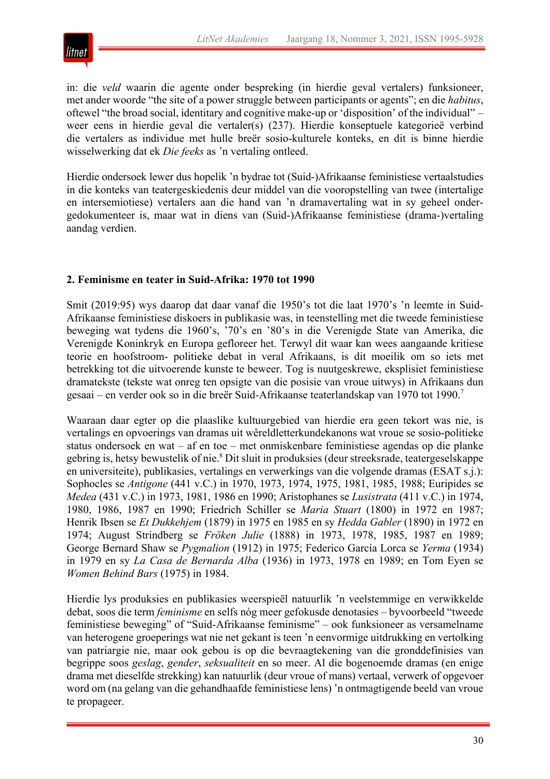

in: die *veld* waarin die agente onder bespreking (in hierdie geval vertalers) funksioneer, met ander woorde "the site of a power struggle between participants or agents"; en die *habitus*, oftewel "the broad social, identitary and cognitive make-up or 'disposition' of the individual" – weer eens in hierdie geval die vertaler(s) (237). Hierdie konseptuele kategorieë verbind die vertalers as individue met hulle breër sosio-kulturele konteks, en dit is binne hierdie wisselwerking dat ek *Die feeks* as 'n vertaling ontleed.

Hierdie ondersoek lewer dus hopelik 'n bydrae tot (Suid-)Afrikaanse feministiese vertaalstudies in die konteks van teatergeskiedenis deur middel van die vooropstelling van twee (intertalige en intersemiotiese) vertalers aan die hand van 'n dramavertaling wat in sy geheel ondergedokumenteer is, maar wat in diens van (Suid-)Afrikaanse feministiese (drama-)vertaling aandag verdien.

# **2. Feminisme en teater in Suid-Afrika: 1970 tot 1990**

Smit (2019:95) wys daarop dat daar vanaf die 1950's tot die laat 1970's 'n leemte in Suid-Afrikaanse feministiese diskoers in publikasie was, in teenstelling met die tweede feministiese beweging wat tydens die 1960's, '70's en '80's in die Verenigde State van Amerika, die Verenigde Koninkryk en Europa gefloreer het. Terwyl dit waar kan wees aangaande kritiese teorie en hoofstroom- politieke debat in veral Afrikaans, is dit moeilik om so iets met betrekking tot die uitvoerende kunste te beweer. Tog is nuutgeskrewe, eksplisiet feministiese dramatekste (tekste wat onreg ten opsigte van die posisie van vroue uitwys) in Afrikaans dun gesaai – en verder ook so in die breër Suid-Afrikaanse teaterlandskap van 1970 tot 1990.7

Waaraan daar egter op die plaaslike kultuurgebied van hierdie era geen tekort was nie, is vertalings en opvoerings van dramas uit wêreldletterkundekanons wat vroue se sosio-politieke status ondersoek en wat – af en toe – met onmiskenbare feministiese agendas op die planke gebring is, hetsy bewustelik of nie.<sup>8</sup> Dit sluit in produksies (deur streeksrade, teatergeselskappe en universiteite), publikasies, vertalings en verwerkings van die volgende dramas (ESAT s.j.): Sophocles se *Antigone* (441 v.C.) in 1970, 1973, 1974, 1975, 1981, 1985, 1988; Euripides se *Medea* (431 v.C.) in 1973, 1981, 1986 en 1990; Aristophanes se *Lusistrata* (411 v.C.) in 1974, 1980, 1986, 1987 en 1990; Friedrich Schiller se *Maria Stuart* (1800) in 1972 en 1987; Henrik Ibsen se *Et Dukkehjem* (1879) in 1975 en 1985 en sy *Hedda Gabler* (1890) in 1972 en 1974; August Strindberg se *Fröken Julie* (1888) in 1973, 1978, 1985, 1987 en 1989; George Bernard Shaw se *Pygmalion* (1912) in 1975; Federico García Lorca se *Yerma* (1934) in 1979 en sy *La Casa de Bernarda Alba* (1936) in 1973, 1978 en 1989; en Tom Eyen se *Women Behind Bars* (1975) in 1984.

Hierdie lys produksies en publikasies weerspieël natuurlik 'n veelstemmige en verwikkelde debat, soos die term *feminisme* en selfs nóg meer gefokusde denotasies – byvoorbeeld "tweede feministiese beweging" of "Suid-Afrikaanse feminisme" – ook funksioneer as versamelname van heterogene groeperings wat nie net gekant is teen 'n eenvormige uitdrukking en vertolking van patriargie nie, maar ook gebou is op die bevraagtekening van die gronddefinisies van begrippe soos *geslag*, *gender*, *seksualiteit* en so meer. Al die bogenoemde dramas (en enige drama met dieselfde strekking) kan natuurlik (deur vroue of mans) vertaal, verwerk of opgevoer word om (na gelang van die gehandhaafde feministiese lens) 'n ontmagtigende beeld van vroue te propageer.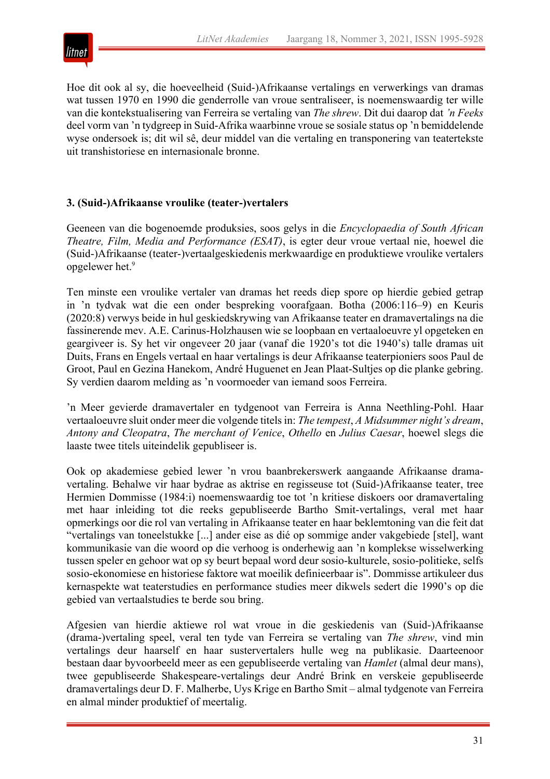

Hoe dit ook al sy, die hoeveelheid (Suid-)Afrikaanse vertalings en verwerkings van dramas wat tussen 1970 en 1990 die genderrolle van vroue sentraliseer, is noemenswaardig ter wille van die kontekstualisering van Ferreira se vertaling van *The shrew*. Dit dui daarop dat *'n Feeks*  deel vorm van 'n tydgreep in Suid-Afrika waarbinne vroue se sosiale status op 'n bemiddelende wyse ondersoek is; dit wil sê, deur middel van die vertaling en transponering van teatertekste uit transhistoriese en internasionale bronne.

# **3. (Suid-)Afrikaanse vroulike (teater-)vertalers**

Geeneen van die bogenoemde produksies, soos gelys in die *Encyclopaedia of South African Theatre, Film, Media and Performance (ESAT)*, is egter deur vroue vertaal nie, hoewel die (Suid-)Afrikaanse (teater-)vertaalgeskiedenis merkwaardige en produktiewe vroulike vertalers opgelewer het.9

Ten minste een vroulike vertaler van dramas het reeds diep spore op hierdie gebied getrap in 'n tydvak wat die een onder bespreking voorafgaan. Botha (2006:116–9) en Keuris (2020:8) verwys beide in hul geskiedskrywing van Afrikaanse teater en dramavertalings na die fassinerende mev. A.E. Carinus-Holzhausen wie se loopbaan en vertaaloeuvre yl opgeteken en geargiveer is. Sy het vir ongeveer 20 jaar (vanaf die 1920's tot die 1940's) talle dramas uit Duits, Frans en Engels vertaal en haar vertalings is deur Afrikaanse teaterpioniers soos Paul de Groot, Paul en Gezina Hanekom, André Huguenet en Jean Plaat-Sultjes op die planke gebring. Sy verdien daarom melding as 'n voormoeder van iemand soos Ferreira.

'n Meer gevierde dramavertaler en tydgenoot van Ferreira is Anna Neethling-Pohl. Haar vertaaloeuvre sluit onder meer die volgende titels in: *The tempest*, *A Midsummer night's dream*, *Antony and Cleopatra*, *The merchant of Venice*, *Othello* en *Julius Caesar*, hoewel slegs die laaste twee titels uiteindelik gepubliseer is.

Ook op akademiese gebied lewer 'n vrou baanbrekerswerk aangaande Afrikaanse dramavertaling. Behalwe vir haar bydrae as aktrise en regisseuse tot (Suid-)Afrikaanse teater, tree Hermien Dommisse (1984:i) noemenswaardig toe tot 'n kritiese diskoers oor dramavertaling met haar inleiding tot die reeks gepubliseerde Bartho Smit-vertalings, veral met haar opmerkings oor die rol van vertaling in Afrikaanse teater en haar beklemtoning van die feit dat "vertalings van toneelstukke [...] ander eise as dié op sommige ander vakgebiede [stel], want kommunikasie van die woord op die verhoog is onderhewig aan 'n komplekse wisselwerking tussen speler en gehoor wat op sy beurt bepaal word deur sosio-kulturele, sosio-politieke, selfs sosio-ekonomiese en historiese faktore wat moeilik definieerbaar is". Dommisse artikuleer dus kernaspekte wat teaterstudies en performance studies meer dikwels sedert die 1990's op die gebied van vertaalstudies te berde sou bring.

Afgesien van hierdie aktiewe rol wat vroue in die geskiedenis van (Suid-)Afrikaanse (drama-)vertaling speel, veral ten tyde van Ferreira se vertaling van *The shrew*, vind min vertalings deur haarself en haar sustervertalers hulle weg na publikasie. Daarteenoor bestaan daar byvoorbeeld meer as een gepubliseerde vertaling van *Hamlet* (almal deur mans), twee gepubliseerde Shakespeare-vertalings deur André Brink en verskeie gepubliseerde dramavertalings deur D. F. Malherbe, Uys Krige en Bartho Smit – almal tydgenote van Ferreira en almal minder produktief of meertalig.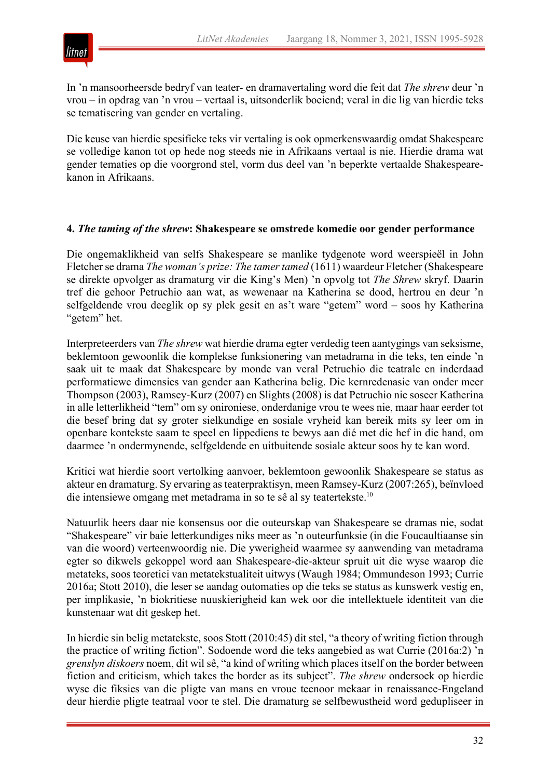

In 'n mansoorheersde bedryf van teater- en dramavertaling word die feit dat *The shrew* deur 'n vrou – in opdrag van 'n vrou – vertaal is, uitsonderlik boeiend; veral in die lig van hierdie teks se tematisering van gender en vertaling.

Die keuse van hierdie spesifieke teks vir vertaling is ook opmerkenswaardig omdat Shakespeare se volledige kanon tot op hede nog steeds nie in Afrikaans vertaal is nie. Hierdie drama wat gender tematies op die voorgrond stel, vorm dus deel van 'n beperkte vertaalde Shakespearekanon in Afrikaans.

#### **4.** *The taming of the shrew***: Shakespeare se omstrede komedie oor gender performance**

Die ongemaklikheid van selfs Shakespeare se manlike tydgenote word weerspieël in John Fletcher se drama *The woman's prize: The tamer tamed* (1611) waardeur Fletcher (Shakespeare se direkte opvolger as dramaturg vir die King's Men) 'n opvolg tot *The Shrew* skryf. Daarin tref die gehoor Petruchio aan wat, as wewenaar na Katherina se dood, hertrou en deur 'n selfgeldende vrou deeglik op sy plek gesit en as't ware "getem" word – soos hy Katherina "getem" het.

Interpreteerders van *The shrew* wat hierdie drama egter verdedig teen aantygings van seksisme, beklemtoon gewoonlik die komplekse funksionering van metadrama in die teks, ten einde 'n saak uit te maak dat Shakespeare by monde van veral Petruchio die teatrale en inderdaad performatiewe dimensies van gender aan Katherina belig. Die kernredenasie van onder meer Thompson (2003), Ramsey-Kurz (2007) en Slights (2008) is dat Petruchio nie soseer Katherina in alle letterlikheid "tem" om sy onironiese, onderdanige vrou te wees nie, maar haar eerder tot die besef bring dat sy groter sielkundige en sosiale vryheid kan bereik mits sy leer om in openbare kontekste saam te speel en lippediens te bewys aan dié met die hef in die hand, om daarmee 'n ondermynende, selfgeldende en uitbuitende sosiale akteur soos hy te kan word.

Kritici wat hierdie soort vertolking aanvoer, beklemtoon gewoonlik Shakespeare se status as akteur en dramaturg. Sy ervaring as teaterpraktisyn, meen Ramsey-Kurz (2007:265), beïnvloed die intensiewe omgang met metadrama in so te sê al sy teatertekste.10

Natuurlik heers daar nie konsensus oor die outeurskap van Shakespeare se dramas nie, sodat "Shakespeare" vir baie letterkundiges niks meer as 'n outeurfunksie (in die Foucaultiaanse sin van die woord) verteenwoordig nie. Die ywerigheid waarmee sy aanwending van metadrama egter so dikwels gekoppel word aan Shakespeare-die-akteur spruit uit die wyse waarop die metateks, soos teoretici van metatekstualiteit uitwys (Waugh 1984; Ommundeson 1993; Currie 2016a; Stott 2010), die leser se aandag outomaties op die teks se status as kunswerk vestig en, per implikasie, 'n biokritiese nuuskierigheid kan wek oor die intellektuele identiteit van die kunstenaar wat dit geskep het.

In hierdie sin belig metatekste, soos Stott (2010:45) dit stel, "a theory of writing fiction through the practice of writing fiction". Sodoende word die teks aangebied as wat Currie (2016a:2) 'n *grenslyn diskoers* noem, dit wil sê, "a kind of writing which places itself on the border between fiction and criticism, which takes the border as its subject". *The shrew* ondersoek op hierdie wyse die fiksies van die pligte van mans en vroue teenoor mekaar in renaissance-Engeland deur hierdie pligte teatraal voor te stel. Die dramaturg se selfbewustheid word gedupliseer in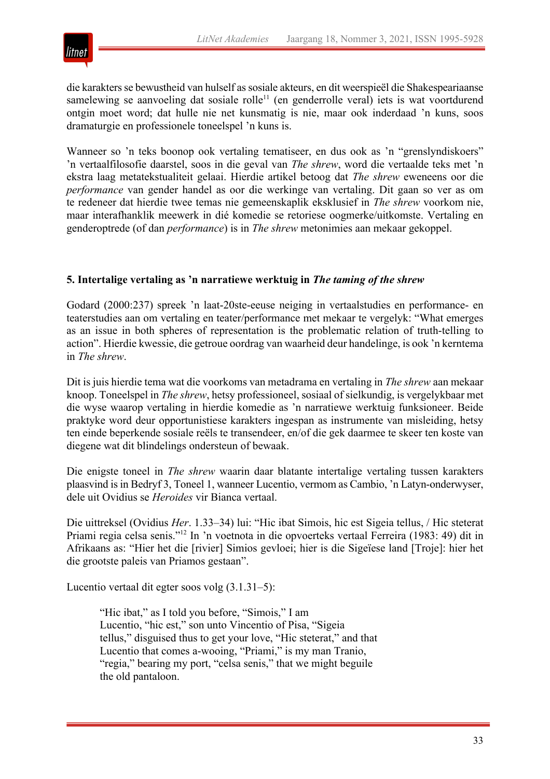

die karakters se bewustheid van hulself as sosiale akteurs, en dit weerspieël die Shakespeariaanse samelewing se aanvoeling dat sosiale rolle<sup>11</sup> (en genderrolle veral) iets is wat voortdurend ontgin moet word; dat hulle nie net kunsmatig is nie, maar ook inderdaad 'n kuns, soos dramaturgie en professionele toneelspel 'n kuns is.

Wanneer so 'n teks boonop ook vertaling tematiseer, en dus ook as 'n "grenslyndiskoers" 'n vertaalfilosofie daarstel, soos in die geval van *The shrew*, word die vertaalde teks met 'n ekstra laag metatekstualiteit gelaai. Hierdie artikel betoog dat *The shrew* eweneens oor die *performance* van gender handel as oor die werkinge van vertaling. Dit gaan so ver as om te redeneer dat hierdie twee temas nie gemeenskaplik eksklusief in *The shrew* voorkom nie, maar interafhanklik meewerk in dié komedie se retoriese oogmerke/uitkomste. Vertaling en genderoptrede (of dan *performance*) is in *The shrew* metonimies aan mekaar gekoppel.

#### **5. Intertalige vertaling as 'n narratiewe werktuig in** *The taming of the shrew*

Godard (2000:237) spreek 'n laat-20ste-eeuse neiging in vertaalstudies en performance- en teaterstudies aan om vertaling en teater/performance met mekaar te vergelyk: "What emerges as an issue in both spheres of representation is the problematic relation of truth-telling to action". Hierdie kwessie, die getroue oordrag van waarheid deur handelinge, is ook 'n kerntema in *The shrew*.

Dit is juis hierdie tema wat die voorkoms van metadrama en vertaling in *The shrew* aan mekaar knoop. Toneelspel in *The shrew*, hetsy professioneel, sosiaal of sielkundig, is vergelykbaar met die wyse waarop vertaling in hierdie komedie as 'n narratiewe werktuig funksioneer. Beide praktyke word deur opportunistiese karakters ingespan as instrumente van misleiding, hetsy ten einde beperkende sosiale reëls te transendeer, en/of die gek daarmee te skeer ten koste van diegene wat dit blindelings ondersteun of bewaak.

Die enigste toneel in *The shrew* waarin daar blatante intertalige vertaling tussen karakters plaasvind is in Bedryf 3, Toneel 1, wanneer Lucentio, vermom as Cambio, 'n Latyn-onderwyser, dele uit Ovidius se *Heroides* vir Bianca vertaal.

Die uittreksel (Ovidius *Her*. 1.33–34) lui: "Hic ibat Simois, hic est Sigeia tellus, / Hic steterat Priami regia celsa senis."12 In 'n voetnota in die opvoerteks vertaal Ferreira (1983: 49) dit in Afrikaans as: "Hier het die [rivier] Simios gevloei; hier is die Sigeïese land [Troje]: hier het die grootste paleis van Priamos gestaan".

Lucentio vertaal dit egter soos volg (3.1.31–5):

"Hic ibat," as I told you before, "Simois," I am Lucentio, "hic est," son unto Vincentio of Pisa, "Sigeia tellus," disguised thus to get your love, "Hic steterat," and that Lucentio that comes a-wooing, "Priami," is my man Tranio, "regia," bearing my port, "celsa senis," that we might beguile the old pantaloon.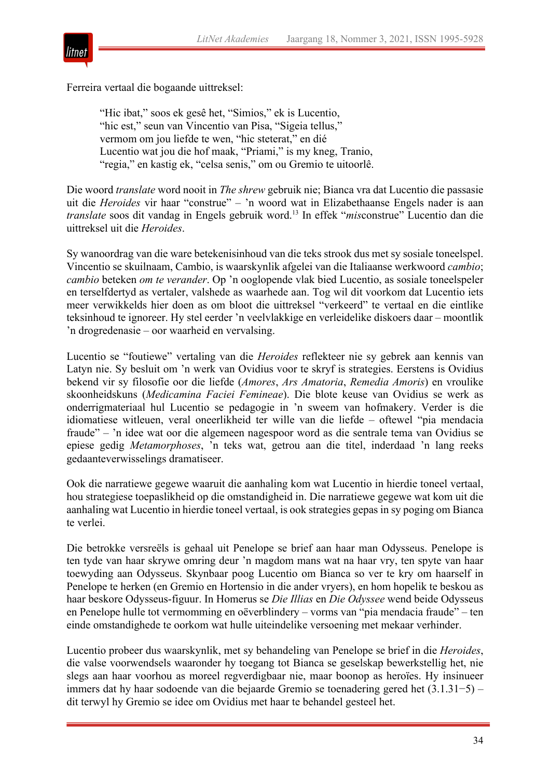

Ferreira vertaal die bogaande uittreksel:

"Hic ibat," soos ek gesê het, "Simios," ek is Lucentio, "hic est," seun van Vincentio van Pisa, "Sigeia tellus," vermom om jou liefde te wen, "hic steterat," en dié Lucentio wat jou die hof maak, "Priami," is my kneg, Tranio, "regia," en kastig ek, "celsa senis," om ou Gremio te uitoorlê.

Die woord *translate* word nooit in *The shrew* gebruik nie; Bianca vra dat Lucentio die passasie uit die *Heroides* vir haar "construe" – 'n woord wat in Elizabethaanse Engels nader is aan *translate* soos dit vandag in Engels gebruik word.13 In effek "*mis*construe" Lucentio dan die uittreksel uit die *Heroides*.

Sy wanoordrag van die ware betekenisinhoud van die teks strook dus met sy sosiale toneelspel. Vincentio se skuilnaam, Cambio, is waarskynlik afgelei van die Italiaanse werkwoord *cambio*; *cambio* beteken *om te verander*. Op 'n ooglopende vlak bied Lucentio, as sosiale toneelspeler en terselfdertyd as vertaler, valshede as waarhede aan. Tog wil dit voorkom dat Lucentio iets meer verwikkelds hier doen as om bloot die uittreksel "verkeerd" te vertaal en die eintlike teksinhoud te ignoreer. Hy stel eerder 'n veelvlakkige en verleidelike diskoers daar – moontlik 'n drogredenasie – oor waarheid en vervalsing.

Lucentio se "foutiewe" vertaling van die *Heroides* reflekteer nie sy gebrek aan kennis van Latyn nie. Sy besluit om 'n werk van Ovidius voor te skryf is strategies. Eerstens is Ovidius bekend vir sy filosofie oor die liefde (*Amores*, *Ars Amatoria*, *Remedia Amoris*) en vroulike skoonheidskuns (*Medicamina Faciei Femineae*). Die blote keuse van Ovidius se werk as onderrigmateriaal hul Lucentio se pedagogie in 'n sweem van hofmakery. Verder is die idiomatiese witleuen, veral oneerlikheid ter wille van die liefde – oftewel "pia mendacia fraude" – 'n idee wat oor die algemeen nagespoor word as die sentrale tema van Ovidius se epiese gedig *Metamorphoses*, 'n teks wat, getrou aan die titel, inderdaad 'n lang reeks gedaanteverwisselings dramatiseer.

Ook die narratiewe gegewe waaruit die aanhaling kom wat Lucentio in hierdie toneel vertaal, hou strategiese toepaslikheid op die omstandigheid in. Die narratiewe gegewe wat kom uit die aanhaling wat Lucentio in hierdie toneel vertaal, is ook strategies gepas in sy poging om Bianca te verlei.

Die betrokke versreëls is gehaal uit Penelope se brief aan haar man Odysseus. Penelope is ten tyde van haar skrywe omring deur 'n magdom mans wat na haar vry, ten spyte van haar toewyding aan Odysseus. Skynbaar poog Lucentio om Bianca so ver te kry om haarself in Penelope te herken (en Gremio en Hortensio in die ander vryers), en hom hopelik te beskou as haar beskore Odysseus-figuur. In Homerus se *Die Illias* en *Die Odyssee* wend beide Odysseus en Penelope hulle tot vermomming en oëverblindery – vorms van "pia mendacia fraude" – ten einde omstandighede te oorkom wat hulle uiteindelike versoening met mekaar verhinder.

Lucentio probeer dus waarskynlik, met sy behandeling van Penelope se brief in die *Heroides*, die valse voorwendsels waaronder hy toegang tot Bianca se geselskap bewerkstellig het, nie slegs aan haar voorhou as moreel regverdigbaar nie, maar boonop as heroïes. Hy insinueer immers dat hy haar sodoende van die bejaarde Gremio se toenadering gered het (3.1.31−5) – dit terwyl hy Gremio se idee om Ovidius met haar te behandel gesteel het.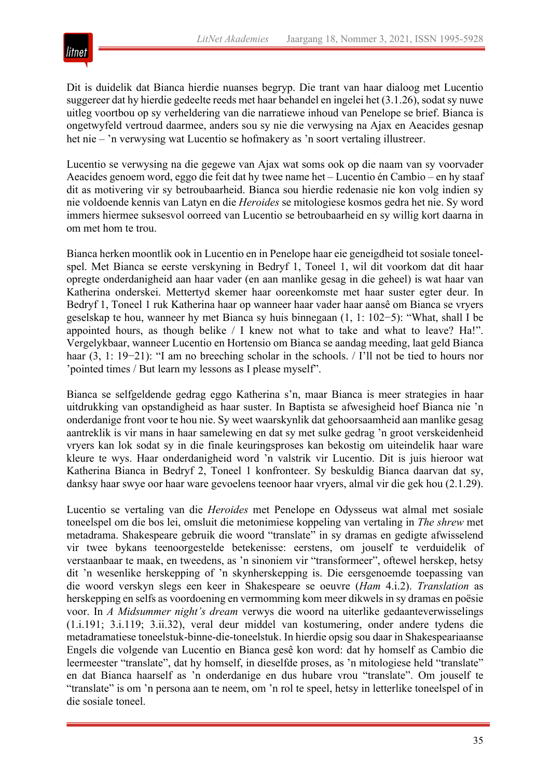

Dit is duidelik dat Bianca hierdie nuanses begryp. Die trant van haar dialoog met Lucentio suggereer dat hy hierdie gedeelte reeds met haar behandel en ingelei het (3.1.26), sodat sy nuwe uitleg voortbou op sy verheldering van die narratiewe inhoud van Penelope se brief. Bianca is ongetwyfeld vertroud daarmee, anders sou sy nie die verwysing na Ajax en Aeacides gesnap het nie – 'n verwysing wat Lucentio se hofmakery as 'n soort vertaling illustreer.

Lucentio se verwysing na die gegewe van Ajax wat soms ook op die naam van sy voorvader Aeacides genoem word, eggo die feit dat hy twee name het – Lucentio én Cambio – en hy staaf dit as motivering vir sy betroubaarheid. Bianca sou hierdie redenasie nie kon volg indien sy nie voldoende kennis van Latyn en die *Heroides* se mitologiese kosmos gedra het nie. Sy word immers hiermee suksesvol oorreed van Lucentio se betroubaarheid en sy willig kort daarna in om met hom te trou.

Bianca herken moontlik ook in Lucentio en in Penelope haar eie geneigdheid tot sosiale toneelspel. Met Bianca se eerste verskyning in Bedryf 1, Toneel 1, wil dit voorkom dat dit haar opregte onderdanigheid aan haar vader (en aan manlike gesag in die geheel) is wat haar van Katherina onderskei. Mettertyd skemer haar ooreenkomste met haar suster egter deur. In Bedryf 1, Toneel 1 ruk Katherina haar op wanneer haar vader haar aansê om Bianca se vryers geselskap te hou, wanneer hy met Bianca sy huis binnegaan (1, 1: 102−5): "What, shall I be appointed hours, as though belike / I knew not what to take and what to leave? Ha!". Vergelykbaar, wanneer Lucentio en Hortensio om Bianca se aandag meeding, laat geld Bianca haar (3, 1: 19−21): "I am no breeching scholar in the schools. / I'll not be tied to hours nor 'pointed times / But learn my lessons as I please myself".

Bianca se selfgeldende gedrag eggo Katherina s'n, maar Bianca is meer strategies in haar uitdrukking van opstandigheid as haar suster. In Baptista se afwesigheid hoef Bianca nie 'n onderdanige front voor te hou nie. Sy weet waarskynlik dat gehoorsaamheid aan manlike gesag aantreklik is vir mans in haar samelewing en dat sy met sulke gedrag 'n groot verskeidenheid vryers kan lok sodat sy in die finale keuringsproses kan bekostig om uiteindelik haar ware kleure te wys. Haar onderdanigheid word 'n valstrik vir Lucentio. Dit is juis hieroor wat Katherina Bianca in Bedryf 2, Toneel 1 konfronteer. Sy beskuldig Bianca daarvan dat sy, danksy haar swye oor haar ware gevoelens teenoor haar vryers, almal vir die gek hou (2.1.29).

Lucentio se vertaling van die *Heroides* met Penelope en Odysseus wat almal met sosiale toneelspel om die bos lei, omsluit die metonimiese koppeling van vertaling in *The shrew* met metadrama. Shakespeare gebruik die woord "translate" in sy dramas en gedigte afwisselend vir twee bykans teenoorgestelde betekenisse: eerstens, om jouself te verduidelik of verstaanbaar te maak, en tweedens, as 'n sinoniem vir "transformeer", oftewel herskep, hetsy dit 'n wesenlike herskepping of 'n skynherskepping is. Die eersgenoemde toepassing van die woord verskyn slegs een keer in Shakespeare se oeuvre (*Ham* 4.i.2). *Translation* as herskepping en selfs as voordoening en vermomming kom meer dikwels in sy dramas en poësie voor. In *A Midsummer night's dream* verwys die woord na uiterlike gedaanteverwisselings (1.i.191; 3.i.119; 3.ii.32), veral deur middel van kostumering, onder andere tydens die metadramatiese toneelstuk-binne-die-toneelstuk. In hierdie opsig sou daar in Shakespeariaanse Engels die volgende van Lucentio en Bianca gesê kon word: dat hy homself as Cambio die leermeester "translate", dat hy homself, in dieselfde proses, as 'n mitologiese held "translate" en dat Bianca haarself as 'n onderdanige en dus hubare vrou "translate". Om jouself te "translate" is om 'n persona aan te neem, om 'n rol te speel, hetsy in letterlike toneelspel of in die sosiale toneel.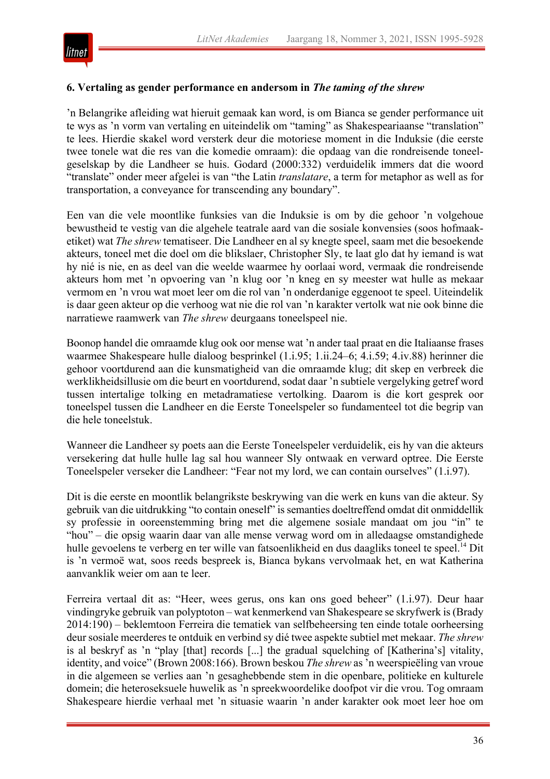

#### **6. Vertaling as gender performance en andersom in** *The taming of the shrew*

'n Belangrike afleiding wat hieruit gemaak kan word, is om Bianca se gender performance uit te wys as 'n vorm van vertaling en uiteindelik om "taming" as Shakespeariaanse "translation" te lees. Hierdie skakel word versterk deur die motoriese moment in die Induksie (die eerste twee tonele wat die res van die komedie omraam): die opdaag van die rondreisende toneelgeselskap by die Landheer se huis. Godard (2000:332) verduidelik immers dat die woord "translate" onder meer afgelei is van "the Latin *translatare*, a term for metaphor as well as for transportation, a conveyance for transcending any boundary".

Een van die vele moontlike funksies van die Induksie is om by die gehoor 'n volgehoue bewustheid te vestig van die algehele teatrale aard van die sosiale konvensies (soos hofmaaketiket) wat *The shrew* tematiseer. Die Landheer en al sy knegte speel, saam met die besoekende akteurs, toneel met die doel om die blikslaer, Christopher Sly, te laat glo dat hy iemand is wat hy nié is nie, en as deel van die weelde waarmee hy oorlaai word, vermaak die rondreisende akteurs hom met 'n opvoering van 'n klug oor 'n kneg en sy meester wat hulle as mekaar vermom en 'n vrou wat moet leer om die rol van 'n onderdanige eggenoot te speel. Uiteindelik is daar geen akteur op die verhoog wat nie die rol van 'n karakter vertolk wat nie ook binne die narratiewe raamwerk van *The shrew* deurgaans toneelspeel nie.

Boonop handel die omraamde klug ook oor mense wat 'n ander taal praat en die Italiaanse frases waarmee Shakespeare hulle dialoog besprinkel (1.i.95; 1.ii.24–6; 4.i.59; 4.iv.88) herinner die gehoor voortdurend aan die kunsmatigheid van die omraamde klug; dit skep en verbreek die werklikheidsillusie om die beurt en voortdurend, sodat daar 'n subtiele vergelyking getref word tussen intertalige tolking en metadramatiese vertolking. Daarom is die kort gesprek oor toneelspel tussen die Landheer en die Eerste Toneelspeler so fundamenteel tot die begrip van die hele toneelstuk.

Wanneer die Landheer sy poets aan die Eerste Toneelspeler verduidelik, eis hy van die akteurs versekering dat hulle hulle lag sal hou wanneer Sly ontwaak en verward optree. Die Eerste Toneelspeler verseker die Landheer: "Fear not my lord, we can contain ourselves" (1.i.97).

Dit is die eerste en moontlik belangrikste beskrywing van die werk en kuns van die akteur. Sy gebruik van die uitdrukking "to contain oneself" is semanties doeltreffend omdat dit onmiddellik sy professie in ooreenstemming bring met die algemene sosiale mandaat om jou "in" te "hou" – die opsig waarin daar van alle mense verwag word om in alledaagse omstandighede hulle gevoelens te verberg en ter wille van fatsoenlikheid en dus daagliks toneel te speel.<sup>14</sup> Dit is 'n vermoë wat, soos reeds bespreek is, Bianca bykans vervolmaak het, en wat Katherina aanvanklik weier om aan te leer.

Ferreira vertaal dit as: "Heer, wees gerus, ons kan ons goed beheer" (1.i.97). Deur haar vindingryke gebruik van polyptoton – wat kenmerkend van Shakespeare se skryfwerk is (Brady 2014:190) – beklemtoon Ferreira die tematiek van selfbeheersing ten einde totale oorheersing deur sosiale meerderes te ontduik en verbind sy dié twee aspekte subtiel met mekaar. *The shrew*  is al beskryf as 'n "play [that] records [...] the gradual squelching of [Katherina's] vitality, identity, and voice" (Brown 2008:166). Brown beskou *The shrew* as 'n weerspieëling van vroue in die algemeen se verlies aan 'n gesaghebbende stem in die openbare, politieke en kulturele domein; die heteroseksuele huwelik as 'n spreekwoordelike doofpot vir die vrou. Tog omraam Shakespeare hierdie verhaal met 'n situasie waarin 'n ander karakter ook moet leer hoe om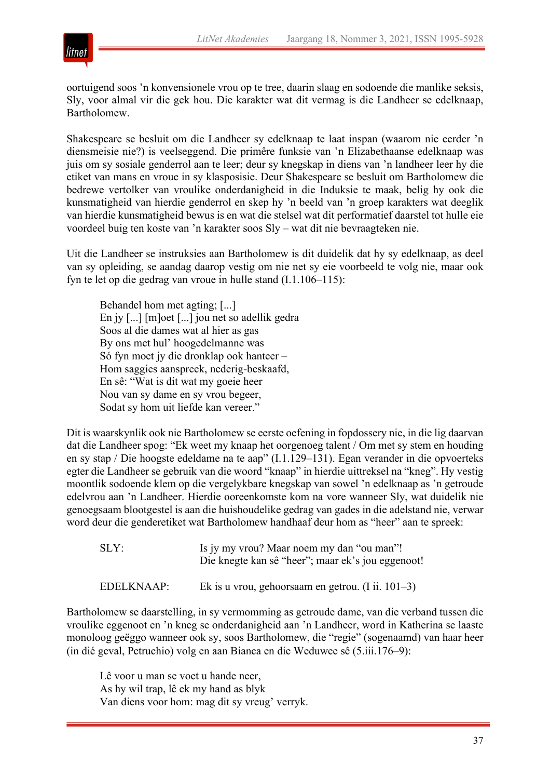

oortuigend soos 'n konvensionele vrou op te tree, daarin slaag en sodoende die manlike seksis, Sly, voor almal vir die gek hou. Die karakter wat dit vermag is die Landheer se edelknaap, Bartholomew.

Shakespeare se besluit om die Landheer sy edelknaap te laat inspan (waarom nie eerder 'n diensmeisie nie?) is veelseggend. Die primêre funksie van 'n Elizabethaanse edelknaap was juis om sy sosiale genderrol aan te leer; deur sy knegskap in diens van 'n landheer leer hy die etiket van mans en vroue in sy klasposisie. Deur Shakespeare se besluit om Bartholomew die bedrewe vertolker van vroulike onderdanigheid in die Induksie te maak, belig hy ook die kunsmatigheid van hierdie genderrol en skep hy 'n beeld van 'n groep karakters wat deeglik van hierdie kunsmatigheid bewus is en wat die stelsel wat dit performatief daarstel tot hulle eie voordeel buig ten koste van 'n karakter soos Sly – wat dit nie bevraagteken nie.

Uit die Landheer se instruksies aan Bartholomew is dit duidelik dat hy sy edelknaap, as deel van sy opleiding, se aandag daarop vestig om nie net sy eie voorbeeld te volg nie, maar ook fyn te let op die gedrag van vroue in hulle stand (I.1.106–115):

Behandel hom met agting; [...] En jy [...] [m]oet [...] jou net so adellik gedra Soos al die dames wat al hier as gas By ons met hul' hoogedelmanne was Só fyn moet jy die dronklap ook hanteer – Hom saggies aanspreek, nederig-beskaafd, En sê: "Wat is dit wat my goeie heer Nou van sy dame en sy vrou begeer, Sodat sy hom uit liefde kan vereer."

Dit is waarskynlik ook nie Bartholomew se eerste oefening in fopdossery nie, in die lig daarvan dat die Landheer spog: "Ek weet my knaap het oorgenoeg talent / Om met sy stem en houding en sy stap / Die hoogste edeldame na te aap" (I.1.129–131). Egan verander in die opvoerteks egter die Landheer se gebruik van die woord "knaap" in hierdie uittreksel na "kneg". Hy vestig moontlik sodoende klem op die vergelykbare knegskap van sowel 'n edelknaap as 'n getroude edelvrou aan 'n Landheer. Hierdie ooreenkomste kom na vore wanneer Sly, wat duidelik nie genoegsaam blootgestel is aan die huishoudelike gedrag van gades in die adelstand nie, verwar word deur die genderetiket wat Bartholomew handhaaf deur hom as "heer" aan te spreek:

| SLY:       | Is jy my vrou? Maar noem my dan "ou man"!<br>Die knegte kan sê "heer"; maar ek's jou eggenoot! |
|------------|------------------------------------------------------------------------------------------------|
| EDELKNAAP: | Ek is u vrou, gehoorsaam en getrou. (I ii. $101-3$ )                                           |

Bartholomew se daarstelling, in sy vermomming as getroude dame, van die verband tussen die vroulike eggenoot en 'n kneg se onderdanigheid aan 'n Landheer, word in Katherina se laaste monoloog geëggo wanneer ook sy, soos Bartholomew, die "regie" (sogenaamd) van haar heer (in dié geval, Petruchio) volg en aan Bianca en die Weduwee sê (5.iii.176–9):

Lê voor u man se voet u hande neer, As hy wil trap, lê ek my hand as blyk Van diens voor hom: mag dit sy vreug' verryk.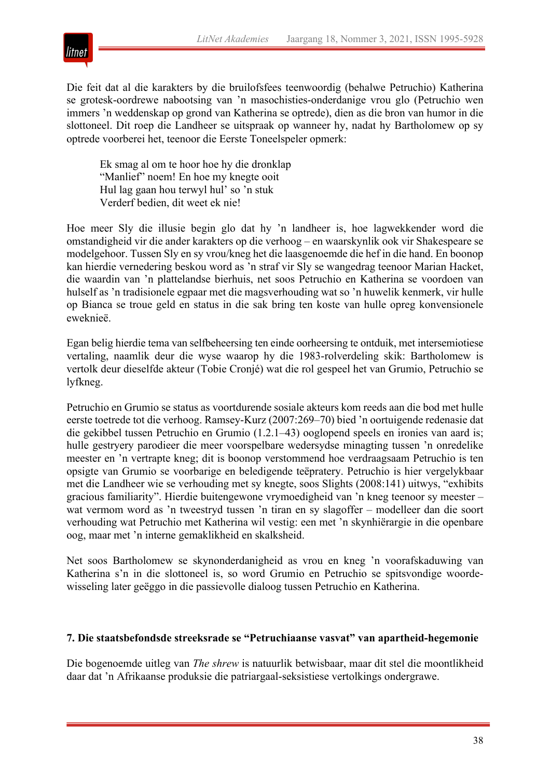

Die feit dat al die karakters by die bruilofsfees teenwoordig (behalwe Petruchio) Katherina se grotesk-oordrewe nabootsing van 'n masochisties-onderdanige vrou glo (Petruchio wen immers 'n weddenskap op grond van Katherina se optrede), dien as die bron van humor in die slottoneel. Dit roep die Landheer se uitspraak op wanneer hy, nadat hy Bartholomew op sy optrede voorberei het, teenoor die Eerste Toneelspeler opmerk:

Ek smag al om te hoor hoe hy die dronklap "Manlief" noem! En hoe my knegte ooit Hul lag gaan hou terwyl hul' so 'n stuk Verderf bedien, dit weet ek nie!

Hoe meer Sly die illusie begin glo dat hy 'n landheer is, hoe lagwekkender word die omstandigheid vir die ander karakters op die verhoog – en waarskynlik ook vir Shakespeare se modelgehoor. Tussen Sly en sy vrou/kneg het die laasgenoemde die hef in die hand. En boonop kan hierdie vernedering beskou word as 'n straf vir Sly se wangedrag teenoor Marian Hacket, die waardin van 'n plattelandse bierhuis, net soos Petruchio en Katherina se voordoen van hulself as 'n tradisionele egpaar met die magsverhouding wat so 'n huwelik kenmerk, vir hulle op Bianca se troue geld en status in die sak bring ten koste van hulle opreg konvensionele eweknieë.

Egan belig hierdie tema van selfbeheersing ten einde oorheersing te ontduik, met intersemiotiese vertaling, naamlik deur die wyse waarop hy die 1983-rolverdeling skik: Bartholomew is vertolk deur dieselfde akteur (Tobie Cronjé) wat die rol gespeel het van Grumio, Petruchio se lyfkneg.

Petruchio en Grumio se status as voortdurende sosiale akteurs kom reeds aan die bod met hulle eerste toetrede tot die verhoog. Ramsey-Kurz (2007:269–70) bied 'n oortuigende redenasie dat die gekibbel tussen Petruchio en Grumio (1.2.1–43) ooglopend speels en ironies van aard is; hulle gestryery parodieer die meer voorspelbare wedersydse minagting tussen 'n onredelike meester en 'n vertrapte kneg; dit is boonop verstommend hoe verdraagsaam Petruchio is ten opsigte van Grumio se voorbarige en beledigende teëpratery. Petruchio is hier vergelykbaar met die Landheer wie se verhouding met sy knegte, soos Slights (2008:141) uitwys, "exhibits gracious familiarity". Hierdie buitengewone vrymoedigheid van 'n kneg teenoor sy meester – wat vermom word as 'n tweestryd tussen 'n tiran en sy slagoffer – modelleer dan die soort verhouding wat Petruchio met Katherina wil vestig: een met 'n skynhiërargie in die openbare oog, maar met 'n interne gemaklikheid en skalksheid.

Net soos Bartholomew se skynonderdanigheid as vrou en kneg 'n voorafskaduwing van Katherina s'n in die slottoneel is, so word Grumio en Petruchio se spitsvondige woordewisseling later geëggo in die passievolle dialoog tussen Petruchio en Katherina.

#### **7. Die staatsbefondsde streeksrade se "Petruchiaanse vasvat" van apartheid-hegemonie**

Die bogenoemde uitleg van *The shrew* is natuurlik betwisbaar, maar dit stel die moontlikheid daar dat 'n Afrikaanse produksie die patriargaal-seksistiese vertolkings ondergrawe.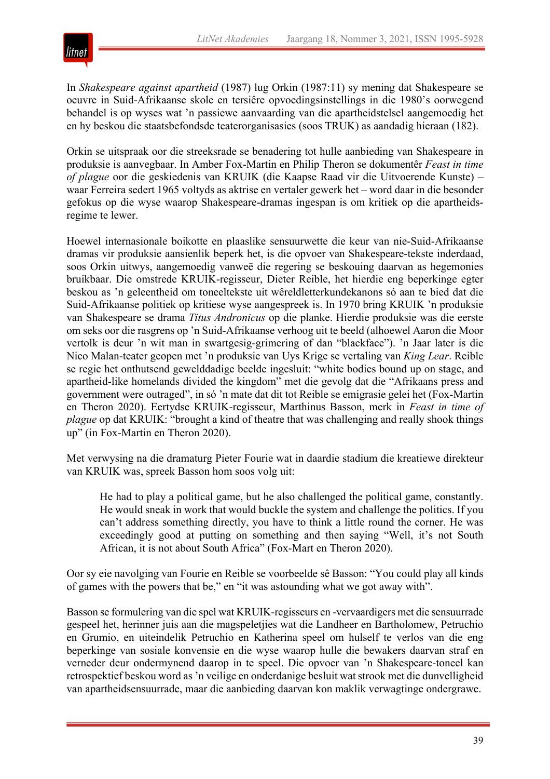

In *Shakespeare against apartheid* (1987) lug Orkin (1987:11) sy mening dat Shakespeare se oeuvre in Suid-Afrikaanse skole en tersiêre opvoedingsinstellings in die 1980's oorwegend behandel is op wyses wat 'n passiewe aanvaarding van die apartheidstelsel aangemoedig het en hy beskou die staatsbefondsde teaterorganisasies (soos TRUK) as aandadig hieraan (182).

Orkin se uitspraak oor die streeksrade se benadering tot hulle aanbieding van Shakespeare in produksie is aanvegbaar. In Amber Fox-Martin en Philip Theron se dokumentêr *Feast in time of plague* oor die geskiedenis van KRUIK (die Kaapse Raad vir die Uitvoerende Kunste) – waar Ferreira sedert 1965 voltyds as aktrise en vertaler gewerk het – word daar in die besonder gefokus op die wyse waarop Shakespeare-dramas ingespan is om kritiek op die apartheidsregime te lewer.

Hoewel internasionale boikotte en plaaslike sensuurwette die keur van nie-Suid-Afrikaanse dramas vir produksie aansienlik beperk het, is die opvoer van Shakespeare-tekste inderdaad, soos Orkin uitwys, aangemoedig vanweë die regering se beskouing daarvan as hegemonies bruikbaar. Die omstrede KRUIK-regisseur, Dieter Reible, het hierdie eng beperkinge egter beskou as 'n geleentheid om toneeltekste uit wêreldletterkundekanons só aan te bied dat die Suid-Afrikaanse politiek op kritiese wyse aangespreek is. In 1970 bring KRUIK 'n produksie van Shakespeare se drama *Titus Andronicus* op die planke. Hierdie produksie was die eerste om seks oor die rasgrens op 'n Suid-Afrikaanse verhoog uit te beeld (alhoewel Aaron die Moor vertolk is deur 'n wit man in swartgesig-grimering of dan "blackface"). 'n Jaar later is die Nico Malan-teater geopen met 'n produksie van Uys Krige se vertaling van *King Lear*. Reible se regie het onthutsend gewelddadige beelde ingesluit: "white bodies bound up on stage, and apartheid-like homelands divided the kingdom" met die gevolg dat die "Afrikaans press and government were outraged", in só 'n mate dat dit tot Reible se emigrasie gelei het (Fox-Martin en Theron 2020). Eertydse KRUIK-regisseur, Marthinus Basson, merk in *Feast in time of plague* op dat KRUIK: "brought a kind of theatre that was challenging and really shook things up" (in Fox-Martin en Theron 2020).

Met verwysing na die dramaturg Pieter Fourie wat in daardie stadium die kreatiewe direkteur van KRUIK was, spreek Basson hom soos volg uit:

He had to play a political game, but he also challenged the political game, constantly. He would sneak in work that would buckle the system and challenge the politics. If you can't address something directly, you have to think a little round the corner. He was exceedingly good at putting on something and then saying "Well, it's not South African, it is not about South Africa" (Fox-Mart en Theron 2020).

Oor sy eie navolging van Fourie en Reible se voorbeelde sê Basson: "You could play all kinds of games with the powers that be," en "it was astounding what we got away with".

Basson se formulering van die spel wat KRUIK-regisseurs en -vervaardigers met die sensuurrade gespeel het, herinner juis aan die magspeletjies wat die Landheer en Bartholomew, Petruchio en Grumio, en uiteindelik Petruchio en Katherina speel om hulself te verlos van die eng beperkinge van sosiale konvensie en die wyse waarop hulle die bewakers daarvan straf en verneder deur ondermynend daarop in te speel. Die opvoer van 'n Shakespeare-toneel kan retrospektief beskou word as 'n veilige en onderdanige besluit wat strook met die dunvelligheid van apartheidsensuurrade, maar die aanbieding daarvan kon maklik verwagtinge ondergrawe.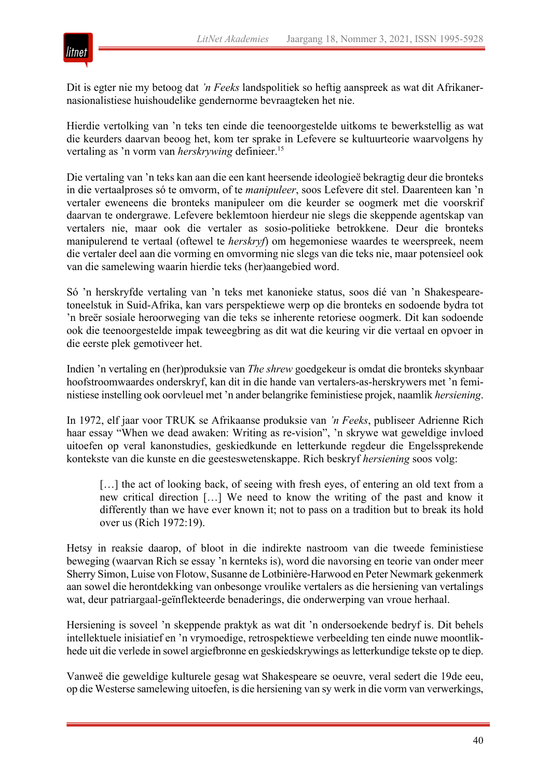

Dit is egter nie my betoog dat *'n Feeks* landspolitiek so heftig aanspreek as wat dit Afrikanernasionalistiese huishoudelike gendernorme bevraagteken het nie.

Hierdie vertolking van 'n teks ten einde die teenoorgestelde uitkoms te bewerkstellig as wat die keurders daarvan beoog het, kom ter sprake in Lefevere se kultuurteorie waarvolgens hy vertaling as 'n vorm van *herskrywing* definieer.15

Die vertaling van 'n teks kan aan die een kant heersende ideologieë bekragtig deur die bronteks in die vertaalproses só te omvorm, of te *manipuleer*, soos Lefevere dit stel. Daarenteen kan 'n vertaler eweneens die bronteks manipuleer om die keurder se oogmerk met die voorskrif daarvan te ondergrawe. Lefevere beklemtoon hierdeur nie slegs die skeppende agentskap van vertalers nie, maar ook die vertaler as sosio-politieke betrokkene. Deur die bronteks manipulerend te vertaal (oftewel te *herskryf*) om hegemoniese waardes te weerspreek, neem die vertaler deel aan die vorming en omvorming nie slegs van die teks nie, maar potensieel ook van die samelewing waarin hierdie teks (her)aangebied word.

Só 'n herskryfde vertaling van 'n teks met kanonieke status, soos dié van 'n Shakespearetoneelstuk in Suid-Afrika, kan vars perspektiewe werp op die bronteks en sodoende bydra tot 'n breër sosiale heroorweging van die teks se inherente retoriese oogmerk. Dit kan sodoende ook die teenoorgestelde impak teweegbring as dit wat die keuring vir die vertaal en opvoer in die eerste plek gemotiveer het.

Indien 'n vertaling en (her)produksie van *The shrew* goedgekeur is omdat die bronteks skynbaar hoofstroomwaardes onderskryf, kan dit in die hande van vertalers-as-herskrywers met 'n feministiese instelling ook oorvleuel met 'n ander belangrike feministiese projek, naamlik *hersiening*.

In 1972, elf jaar voor TRUK se Afrikaanse produksie van *'n Feeks*, publiseer Adrienne Rich haar essay "When we dead awaken: Writing as re-vision", 'n skrywe wat geweldige invloed uitoefen op veral kanonstudies, geskiedkunde en letterkunde regdeur die Engelssprekende kontekste van die kunste en die geesteswetenskappe. Rich beskryf *hersiening* soos volg:

[...] the act of looking back, of seeing with fresh eyes, of entering an old text from a new critical direction […] We need to know the writing of the past and know it differently than we have ever known it; not to pass on a tradition but to break its hold over us (Rich 1972:19).

Hetsy in reaksie daarop, of bloot in die indirekte nastroom van die tweede feministiese beweging (waarvan Rich se essay 'n kernteks is), word die navorsing en teorie van onder meer Sherry Simon, Luise von Flotow, Susanne de Lotbinière-Harwood en Peter Newmark gekenmerk aan sowel die herontdekking van onbesonge vroulike vertalers as die hersiening van vertalings wat, deur patriargaal-geïnflekteerde benaderings, die onderwerping van vroue herhaal.

Hersiening is soveel 'n skeppende praktyk as wat dit 'n ondersoekende bedryf is. Dit behels intellektuele inisiatief en 'n vrymoedige, retrospektiewe verbeelding ten einde nuwe moontlikhede uit die verlede in sowel argiefbronne en geskiedskrywings as letterkundige tekste op te diep.

Vanweë die geweldige kulturele gesag wat Shakespeare se oeuvre, veral sedert die 19de eeu, op die Westerse samelewing uitoefen, is die hersiening van sy werk in die vorm van verwerkings,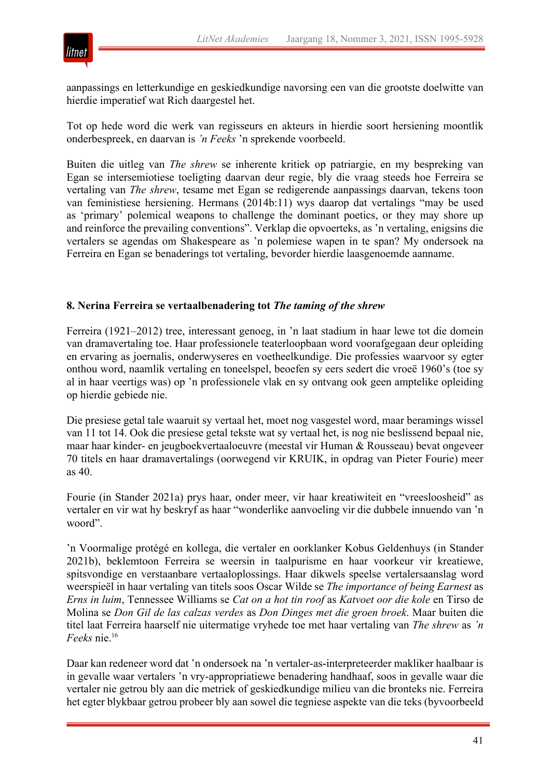

aanpassings en letterkundige en geskiedkundige navorsing een van die grootste doelwitte van hierdie imperatief wat Rich daargestel het.

Tot op hede word die werk van regisseurs en akteurs in hierdie soort hersiening moontlik onderbespreek, en daarvan is *'n Feeks* 'n sprekende voorbeeld.

Buiten die uitleg van *The shrew* se inherente kritiek op patriargie, en my bespreking van Egan se intersemiotiese toeligting daarvan deur regie, bly die vraag steeds hoe Ferreira se vertaling van *The shrew*, tesame met Egan se redigerende aanpassings daarvan, tekens toon van feministiese hersiening. Hermans (2014b:11) wys daarop dat vertalings "may be used as 'primary' polemical weapons to challenge the dominant poetics, or they may shore up and reinforce the prevailing conventions". Verklap die opvoerteks, as 'n vertaling, enigsins die vertalers se agendas om Shakespeare as 'n polemiese wapen in te span? My ondersoek na Ferreira en Egan se benaderings tot vertaling, bevorder hierdie laasgenoemde aanname.

#### **8. Nerina Ferreira se vertaalbenadering tot** *The taming of the shrew*

Ferreira (1921–2012) tree, interessant genoeg, in 'n laat stadium in haar lewe tot die domein van dramavertaling toe. Haar professionele teaterloopbaan word voorafgegaan deur opleiding en ervaring as joernalis, onderwyseres en voetheelkundige. Die professies waarvoor sy egter onthou word, naamlik vertaling en toneelspel, beoefen sy eers sedert die vroeë 1960's (toe sy al in haar veertigs was) op 'n professionele vlak en sy ontvang ook geen amptelike opleiding op hierdie gebiede nie.

Die presiese getal tale waaruit sy vertaal het, moet nog vasgestel word, maar beramings wissel van 11 tot 14. Ook die presiese getal tekste wat sy vertaal het, is nog nie beslissend bepaal nie, maar haar kinder- en jeugboekvertaaloeuvre (meestal vir Human & Rousseau) bevat ongeveer 70 titels en haar dramavertalings (oorwegend vir KRUIK, in opdrag van Pieter Fourie) meer as 40.

Fourie (in Stander 2021a) prys haar, onder meer, vir haar kreatiwiteit en "vreesloosheid" as vertaler en vir wat hy beskryf as haar "wonderlike aanvoeling vir die dubbele innuendo van 'n woord".

'n Voormalige protégé en kollega, die vertaler en oorklanker Kobus Geldenhuys (in Stander 2021b), beklemtoon Ferreira se weersin in taalpurisme en haar voorkeur vir kreatiewe, spitsvondige en verstaanbare vertaaloplossings. Haar dikwels speelse vertalersaanslag word weerspieël in haar vertaling van titels soos Oscar Wilde se *The importance of being Earnest* as *Erns in luim*, Tennessee Williams se *Cat on a hot tin roof* as *Katvoet oor die kole* en Tirso de Molina se *Don Gil de las calzas verdes* as *Don Dinges met die groen broek*. Maar buiten die titel laat Ferreira haarself nie uitermatige vryhede toe met haar vertaling van *The shrew* as *'n Feeks* nie.16

Daar kan redeneer word dat 'n ondersoek na 'n vertaler-as-interpreteerder makliker haalbaar is in gevalle waar vertalers 'n vry-appropriatiewe benadering handhaaf, soos in gevalle waar die vertaler nie getrou bly aan die metriek of geskiedkundige milieu van die bronteks nie. Ferreira het egter blykbaar getrou probeer bly aan sowel die tegniese aspekte van die teks (byvoorbeeld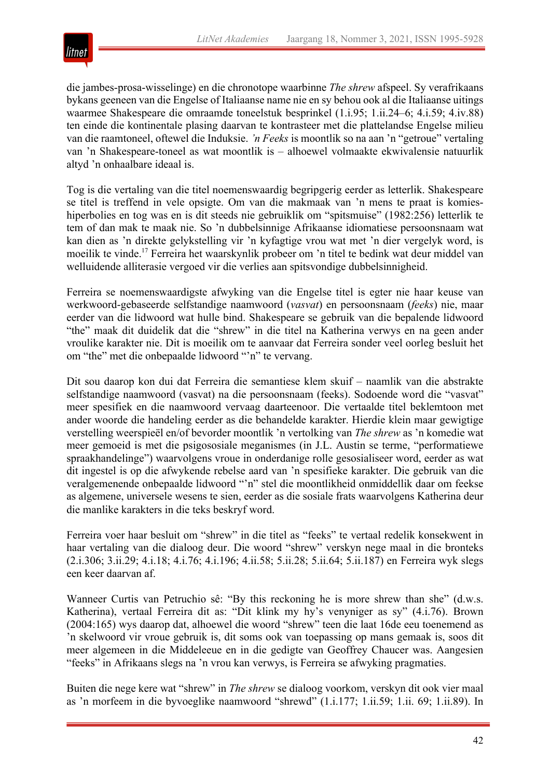

die jambes-prosa-wisselinge) en die chronotope waarbinne *The shrew* afspeel. Sy verafrikaans bykans geeneen van die Engelse of Italiaanse name nie en sy behou ook al die Italiaanse uitings waarmee Shakespeare die omraamde toneelstuk besprinkel (1.i.95; 1.ii.24–6; 4.i.59; 4.iv.88) ten einde die kontinentale plasing daarvan te kontrasteer met die plattelandse Engelse milieu van die raamtoneel, oftewel die Induksie. *'n Feeks* is moontlik so na aan 'n "getroue" vertaling van 'n Shakespeare-toneel as wat moontlik is – alhoewel volmaakte ekwivalensie natuurlik altyd 'n onhaalbare ideaal is.

Tog is die vertaling van die titel noemenswaardig begripgerig eerder as letterlik. Shakespeare se titel is treffend in vele opsigte. Om van die makmaak van 'n mens te praat is komieshiperbolies en tog was en is dit steeds nie gebruiklik om "spitsmuise" (1982:256) letterlik te tem of dan mak te maak nie. So 'n dubbelsinnige Afrikaanse idiomatiese persoonsnaam wat kan dien as 'n direkte gelykstelling vir 'n kyfagtige vrou wat met 'n dier vergelyk word, is moeilik te vinde.17 Ferreira het waarskynlik probeer om 'n titel te bedink wat deur middel van welluidende alliterasie vergoed vir die verlies aan spitsvondige dubbelsinnigheid.

Ferreira se noemenswaardigste afwyking van die Engelse titel is egter nie haar keuse van werkwoord-gebaseerde selfstandige naamwoord (*vasvat*) en persoonsnaam (*feeks*) nie, maar eerder van die lidwoord wat hulle bind. Shakespeare se gebruik van die bepalende lidwoord "the" maak dit duidelik dat die "shrew" in die titel na Katherina verwys en na geen ander vroulike karakter nie. Dit is moeilik om te aanvaar dat Ferreira sonder veel oorleg besluit het om "the" met die onbepaalde lidwoord "'n" te vervang.

Dit sou daarop kon dui dat Ferreira die semantiese klem skuif – naamlik van die abstrakte selfstandige naamwoord (vasvat) na die persoonsnaam (feeks). Sodoende word die "vasvat" meer spesifiek en die naamwoord vervaag daarteenoor. Die vertaalde titel beklemtoon met ander woorde die handeling eerder as die behandelde karakter. Hierdie klein maar gewigtige verstelling weerspieël en/of bevorder moontlik 'n vertolking van *The shrew* as 'n komedie wat meer gemoeid is met die psigososiale meganismes (in J.L. Austin se terme, "performatiewe spraakhandelinge") waarvolgens vroue in onderdanige rolle gesosialiseer word, eerder as wat dit ingestel is op die afwykende rebelse aard van 'n spesifieke karakter. Die gebruik van die veralgemenende onbepaalde lidwoord "'n" stel die moontlikheid onmiddellik daar om feekse as algemene, universele wesens te sien, eerder as die sosiale frats waarvolgens Katherina deur die manlike karakters in die teks beskryf word.

Ferreira voer haar besluit om "shrew" in die titel as "feeks" te vertaal redelik konsekwent in haar vertaling van die dialoog deur. Die woord "shrew" verskyn nege maal in die bronteks (2.i.306; 3.ii.29; 4.i.18; 4.i.76; 4.i.196; 4.ii.58; 5.ii.28; 5.ii.64; 5.ii.187) en Ferreira wyk slegs een keer daarvan af.

Wanneer Curtis van Petruchio sê: "By this reckoning he is more shrew than she" (d.w.s. Katherina), vertaal Ferreira dit as: "Dit klink my hy's venyniger as sy" (4.i.76). Brown (2004:165) wys daarop dat, alhoewel die woord "shrew" teen die laat 16de eeu toenemend as 'n skelwoord vir vroue gebruik is, dit soms ook van toepassing op mans gemaak is, soos dit meer algemeen in die Middeleeue en in die gedigte van Geoffrey Chaucer was. Aangesien "feeks" in Afrikaans slegs na 'n vrou kan verwys, is Ferreira se afwyking pragmaties.

Buiten die nege kere wat "shrew" in *The shrew* se dialoog voorkom, verskyn dit ook vier maal as 'n morfeem in die byvoeglike naamwoord "shrewd" (1.i.177; 1.ii.59; 1.ii. 69; 1.ii.89). In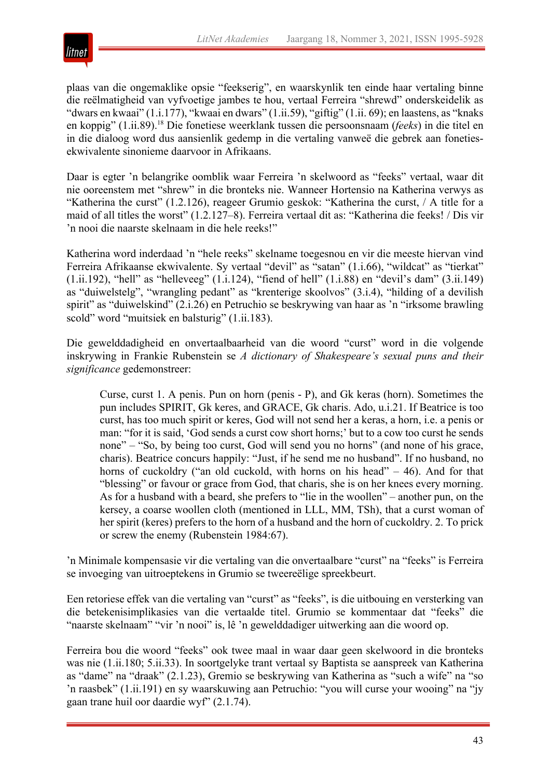

plaas van die ongemaklike opsie "feekserig", en waarskynlik ten einde haar vertaling binne die reëlmatigheid van vyfvoetige jambes te hou, vertaal Ferreira "shrewd" onderskeidelik as "dwars en kwaai" (1.i.177), "kwaai en dwars" (1.ii.59), "giftig" (1.ii. 69); en laastens, as "knaks en koppig" (1.ii.89).18 Die fonetiese weerklank tussen die persoonsnaam (*feeks*) in die titel en in die dialoog word dus aansienlik gedemp in die vertaling vanweë die gebrek aan fonetiesekwivalente sinonieme daarvoor in Afrikaans.

Daar is egter 'n belangrike oomblik waar Ferreira 'n skelwoord as "feeks" vertaal, waar dit nie ooreenstem met "shrew" in die bronteks nie. Wanneer Hortensio na Katherina verwys as "Katherina the curst" (1.2.126), reageer Grumio geskok: "Katherina the curst, / A title for a maid of all titles the worst" (1.2.127–8). Ferreira vertaal dit as: "Katherina die feeks! / Dis vir 'n nooi die naarste skelnaam in die hele reeks!"

Katherina word inderdaad 'n "hele reeks" skelname toegesnou en vir die meeste hiervan vind Ferreira Afrikaanse ekwivalente. Sy vertaal "devil" as "satan" (1.i.66), "wildcat" as "tierkat"  $(1.ii.192)$ , "hell" as "helleveeg"  $(1.1.124)$ , "fiend of hell"  $(1.1.88)$  en "devil's dam"  $(3.ii.149)$ as "duiwelstelg", "wrangling pedant" as "krenterige skoolvos" (3.i.4), "hilding of a devilish spirit" as "duiwelskind" (2.i.26) en Petruchio se beskrywing van haar as 'n "irksome brawling scold" word "muitsiek en balsturig" (1.ii.183).

Die gewelddadigheid en onvertaalbaarheid van die woord "curst" word in die volgende inskrywing in Frankie Rubenstein se *A dictionary of Shakespeare's sexual puns and their significance* gedemonstreer:

Curse, curst 1. A penis. Pun on horn (penis - P), and Gk keras (horn). Sometimes the pun includes SPIRIT, Gk keres, and GRACE, Gk charis. Ado, u.i.21. If Beatrice is too curst, has too much spirit or keres, God will not send her a keras, a horn, i.e. a penis or man: "for it is said, 'God sends a curst cow short horns;' but to a cow too curst he sends none" – "So, by being too curst, God will send you no horns" (and none of his grace, charis). Beatrice concurs happily: "Just, if he send me no husband". If no husband, no horns of cuckoldry ("an old cuckold, with horns on his head" – 46). And for that "blessing" or favour or grace from God, that charis, she is on her knees every morning. As for a husband with a beard, she prefers to "lie in the woollen" – another pun, on the kersey, a coarse woollen cloth (mentioned in LLL, MM, TSh), that a curst woman of her spirit (keres) prefers to the horn of a husband and the horn of cuckoldry. 2. To prick or screw the enemy (Rubenstein 1984:67).

'n Minimale kompensasie vir die vertaling van die onvertaalbare "curst" na "feeks" is Ferreira se invoeging van uitroeptekens in Grumio se tweereëlige spreekbeurt.

Een retoriese effek van die vertaling van "curst" as "feeks", is die uitbouing en versterking van die betekenisimplikasies van die vertaalde titel. Grumio se kommentaar dat "feeks" die "naarste skelnaam" "vir 'n nooi" is, lê 'n gewelddadiger uitwerking aan die woord op.

Ferreira bou die woord "feeks" ook twee maal in waar daar geen skelwoord in die bronteks was nie (1.ii.180; 5.ii.33). In soortgelyke trant vertaal sy Baptista se aanspreek van Katherina as "dame" na "draak" (2.1.23), Gremio se beskrywing van Katherina as "such a wife" na "so 'n raasbek" (1.ii.191) en sy waarskuwing aan Petruchio: "you will curse your wooing" na "jy gaan trane huil oor daardie wyf" (2.1.74).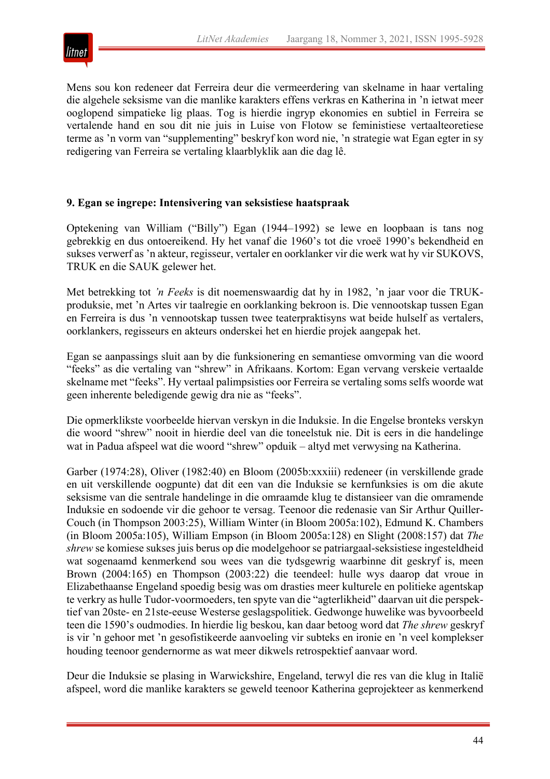

Mens sou kon redeneer dat Ferreira deur die vermeerdering van skelname in haar vertaling die algehele seksisme van die manlike karakters effens verkras en Katherina in 'n ietwat meer ooglopend simpatieke lig plaas. Tog is hierdie ingryp ekonomies en subtiel in Ferreira se vertalende hand en sou dit nie juis in Luise von Flotow se feministiese vertaalteoretiese terme as 'n vorm van "supplementing" beskryf kon word nie, 'n strategie wat Egan egter in sy redigering van Ferreira se vertaling klaarblyklik aan die dag lê.

# **9. Egan se ingrepe: Intensivering van seksistiese haatspraak**

Optekening van William ("Billy") Egan (1944–1992) se lewe en loopbaan is tans nog gebrekkig en dus ontoereikend. Hy het vanaf die 1960's tot die vroeë 1990's bekendheid en sukses verwerf as 'n akteur, regisseur, vertaler en oorklanker vir die werk wat hy vir SUKOVS, TRUK en die SAUK gelewer het.

Met betrekking tot *'n Feeks* is dit noemenswaardig dat hy in 1982, 'n jaar voor die TRUKproduksie, met 'n Artes vir taalregie en oorklanking bekroon is. Die vennootskap tussen Egan en Ferreira is dus 'n vennootskap tussen twee teaterpraktisyns wat beide hulself as vertalers, oorklankers, regisseurs en akteurs onderskei het en hierdie projek aangepak het.

Egan se aanpassings sluit aan by die funksionering en semantiese omvorming van die woord "feeks" as die vertaling van "shrew" in Afrikaans. Kortom: Egan vervang verskeie vertaalde skelname met "feeks". Hy vertaal palimpsisties oor Ferreira se vertaling soms selfs woorde wat geen inherente beledigende gewig dra nie as "feeks".

Die opmerklikste voorbeelde hiervan verskyn in die Induksie. In die Engelse bronteks verskyn die woord "shrew" nooit in hierdie deel van die toneelstuk nie. Dit is eers in die handelinge wat in Padua afspeel wat die woord "shrew" opduik – altyd met verwysing na Katherina.

Garber (1974:28), Oliver (1982:40) en Bloom (2005b:xxxiii) redeneer (in verskillende grade en uit verskillende oogpunte) dat dit een van die Induksie se kernfunksies is om die akute seksisme van die sentrale handelinge in die omraamde klug te distansieer van die omramende Induksie en sodoende vir die gehoor te versag. Teenoor die redenasie van Sir Arthur Quiller-Couch (in Thompson 2003:25), William Winter (in Bloom 2005a:102), Edmund K. Chambers (in Bloom 2005a:105), William Empson (in Bloom 2005a:128) en Slight (2008:157) dat *The shrew* se komiese sukses juis berus op die modelgehoor se patriargaal-seksistiese ingesteldheid wat sogenaamd kenmerkend sou wees van die tydsgewrig waarbinne dit geskryf is, meen Brown (2004:165) en Thompson (2003:22) die teendeel: hulle wys daarop dat vroue in Elizabethaanse Engeland spoedig besig was om drasties meer kulturele en politieke agentskap te verkry as hulle Tudor-voormoeders, ten spyte van die "agterlikheid" daarvan uit die perspektief van 20ste- en 21ste-eeuse Westerse geslagspolitiek. Gedwonge huwelike was byvoorbeeld teen die 1590's oudmodies. In hierdie lig beskou, kan daar betoog word dat *The shrew* geskryf is vir 'n gehoor met 'n gesofistikeerde aanvoeling vir subteks en ironie en 'n veel komplekser houding teenoor gendernorme as wat meer dikwels retrospektief aanvaar word.

Deur die Induksie se plasing in Warwickshire, Engeland, terwyl die res van die klug in Italië afspeel, word die manlike karakters se geweld teenoor Katherina geprojekteer as kenmerkend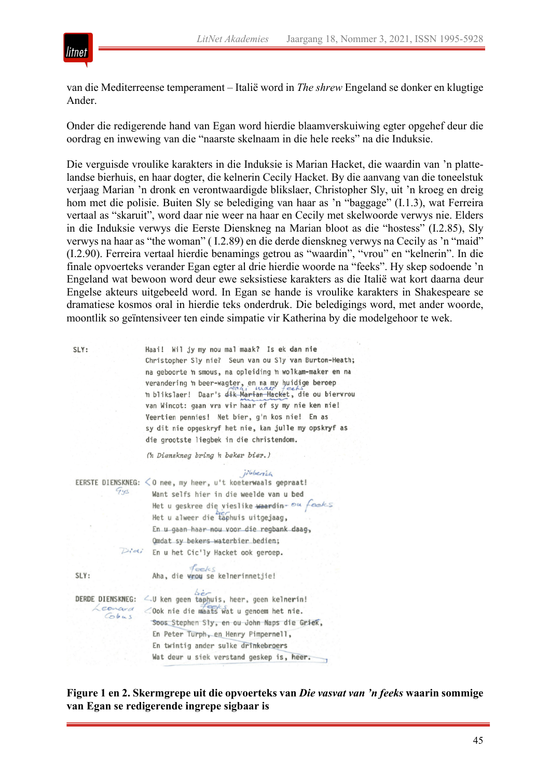

van die Mediterreense temperament – Italië word in *The shrew* Engeland se donker en klugtige Ander.

Onder die redigerende hand van Egan word hierdie blaamverskuiwing egter opgehef deur die oordrag en inwewing van die "naarste skelnaam in die hele reeks" na die Induksie.

Die verguisde vroulike karakters in die Induksie is Marian Hacket, die waardin van 'n plattelandse bierhuis, en haar dogter, die kelnerin Cecily Hacket. By die aanvang van die toneelstuk verjaag Marian 'n dronk en verontwaardigde blikslaer, Christopher Sly, uit 'n kroeg en dreig hom met die polisie. Buiten Sly se belediging van haar as 'n "baggage" (I.1.3), wat Ferreira vertaal as "skaruit", word daar nie weer na haar en Cecily met skelwoorde verwys nie. Elders in die Induksie verwys die Eerste Dienskneg na Marian bloot as die "hostess" (I.2.85), Sly verwys na haar as "the woman" ( I.2.89) en die derde dienskneg verwys na Cecily as 'n "maid" (I.2.90). Ferreira vertaal hierdie benamings getrou as "waardin", "vrou" en "kelnerin". In die finale opvoerteks verander Egan egter al drie hierdie woorde na "feeks". Hy skep sodoende 'n Engeland wat bewoon word deur ewe seksistiese karakters as die Italië wat kort daarna deur Engelse akteurs uitgebeeld word. In Egan se hande is vroulike karakters in Shakespeare se dramatiese kosmos oral in hierdie teks onderdruk. Die beledigings word, met ander woorde, moontlik so geïntensiveer ten einde simpatie vir Katherina by die modelgehoor te wek.

| SLY:                     | Haai! Wil jy my nou mal maak? Is ek dan nie               |
|--------------------------|-----------------------------------------------------------|
|                          | Christopher Sly nie? Seun van ou Sly van Burton-Heath;    |
|                          | na geboorte 'n smous, na opleiding 'n wolkam-maker en na  |
|                          | verandering in beer-wagter, en na my huidige beroep       |
|                          | h blikslaer!<br>Daar's dik Marian Hacket, die ou biervrou |
|                          | van Wincot: gaan vra vir haar of sy my nie ken nie!       |
|                          | Veertien pennies! Net bier, g'n kos nie! En as            |
|                          | sy dit nie opgeskryf het nie, kan julle my opskryf as     |
|                          | die grootste liegbek in die christendom.                  |
|                          | (h Dienskneg bring h beker bier.)                         |
|                          | jibberish                                                 |
| EERSTE DIENSKNEG:<br>Gys | <0 nee, my heer, u't koeterwaals gepraat!                 |
|                          | Want selfs hier in die weelde van u bed                   |
|                          | Het u geskree die vieslike waardin- ou feeks              |
|                          | Het u alweer die taphuis uitgejaag,                       |
|                          | En u gaan haar nou voor die regbank daag,                 |
|                          | Qmdat sy bekers waterbier bedien;                         |
|                          | Didi En u het Cic'ly Hacket ook geroep.                   |
|                          |                                                           |
| SLY:                     | $f_{\text{eclcS}}$<br>Aha, die vrou se kelnerinnetjie!    |
|                          |                                                           |
| <b>DERDE DIENSKNEG:</b>  | 4.0 ken geen taphuis, heer, geen kelnerin!                |
| Leonard<br>Cobus         |                                                           |
|                          | Soos Stephen Sly, en ou John Naps die Griek,              |
|                          | En Peter Turph, en Henry Pimpernell,                      |
|                          | En twintig ander sulke drinkebroers                       |
|                          | Wat deur u siek verstand geskep is, heer.                 |
|                          |                                                           |

**Figure 1 en 2. Skermgrepe uit die opvoerteks van** *Die vasvat van 'n feeks* **waarin sommige van Egan se redigerende ingrepe sigbaar is**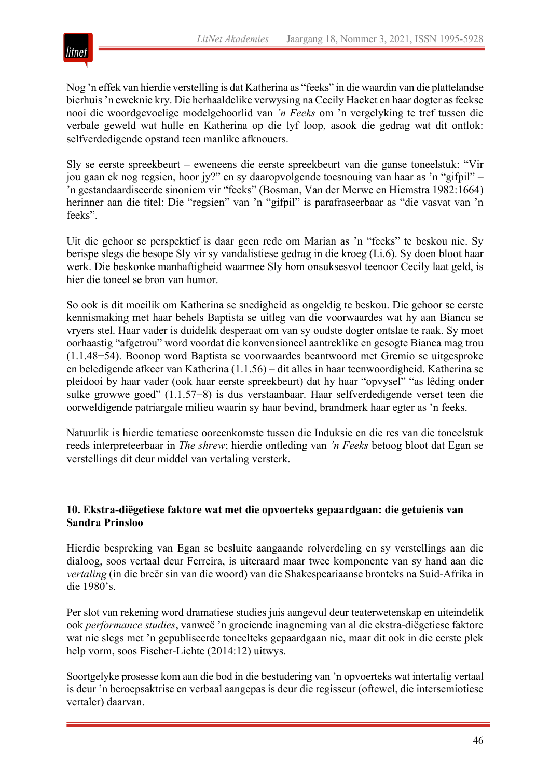

Nog 'n effek van hierdie verstelling is dat Katherina as "feeks" in die waardin van die plattelandse bierhuis 'n eweknie kry. Die herhaaldelike verwysing na Cecily Hacket en haar dogter as feekse nooi die woordgevoelige modelgehoorlid van *'n Feeks* om 'n vergelyking te tref tussen die verbale geweld wat hulle en Katherina op die lyf loop, asook die gedrag wat dit ontlok: selfverdedigende opstand teen manlike afknouers.

Sly se eerste spreekbeurt – eweneens die eerste spreekbeurt van die ganse toneelstuk: "Vir jou gaan ek nog regsien, hoor jy?" en sy daaropvolgende toesnouing van haar as 'n "gifpil" – 'n gestandaardiseerde sinoniem vir "feeks" (Bosman, Van der Merwe en Hiemstra 1982:1664) herinner aan die titel: Die "regsien" van 'n "gifpil" is parafraseerbaar as "die vasvat van 'n feeks".

Uit die gehoor se perspektief is daar geen rede om Marian as 'n "feeks" te beskou nie. Sy berispe slegs die besope Sly vir sy vandalistiese gedrag in die kroeg (I.i.6). Sy doen bloot haar werk. Die beskonke manhaftigheid waarmee Sly hom onsuksesvol teenoor Cecily laat geld, is hier die toneel se bron van humor.

So ook is dit moeilik om Katherina se snedigheid as ongeldig te beskou. Die gehoor se eerste kennismaking met haar behels Baptista se uitleg van die voorwaardes wat hy aan Bianca se vryers stel. Haar vader is duidelik desperaat om van sy oudste dogter ontslae te raak. Sy moet oorhaastig "afgetrou" word voordat die konvensioneel aantreklike en gesogte Bianca mag trou (1.1.48−54). Boonop word Baptista se voorwaardes beantwoord met Gremio se uitgesproke en beledigende afkeer van Katherina (1.1.56) – dit alles in haar teenwoordigheid. Katherina se pleidooi by haar vader (ook haar eerste spreekbeurt) dat hy haar "opvysel" "as lêding onder sulke growwe goed" (1.1.57−8) is dus verstaanbaar. Haar selfverdedigende verset teen die oorweldigende patriargale milieu waarin sy haar bevind, brandmerk haar egter as 'n feeks.

Natuurlik is hierdie tematiese ooreenkomste tussen die Induksie en die res van die toneelstuk reeds interpreteerbaar in *The shrew*; hierdie ontleding van *'n Feeks* betoog bloot dat Egan se verstellings dit deur middel van vertaling versterk.

#### **10. Ekstra-diëgetiese faktore wat met die opvoerteks gepaardgaan: die getuienis van Sandra Prinsloo**

Hierdie bespreking van Egan se besluite aangaande rolverdeling en sy verstellings aan die dialoog, soos vertaal deur Ferreira, is uiteraard maar twee komponente van sy hand aan die *vertaling* (in die breër sin van die woord) van die Shakespeariaanse bronteks na Suid-Afrika in die 1980's.

Per slot van rekening word dramatiese studies juis aangevul deur teaterwetenskap en uiteindelik ook *performance studies*, vanweë 'n groeiende inagneming van al die ekstra-diëgetiese faktore wat nie slegs met 'n gepubliseerde toneelteks gepaardgaan nie, maar dit ook in die eerste plek help vorm, soos Fischer-Lichte (2014:12) uitwys.

Soortgelyke prosesse kom aan die bod in die bestudering van 'n opvoerteks wat intertalig vertaal is deur 'n beroepsaktrise en verbaal aangepas is deur die regisseur (oftewel, die intersemiotiese vertaler) daarvan.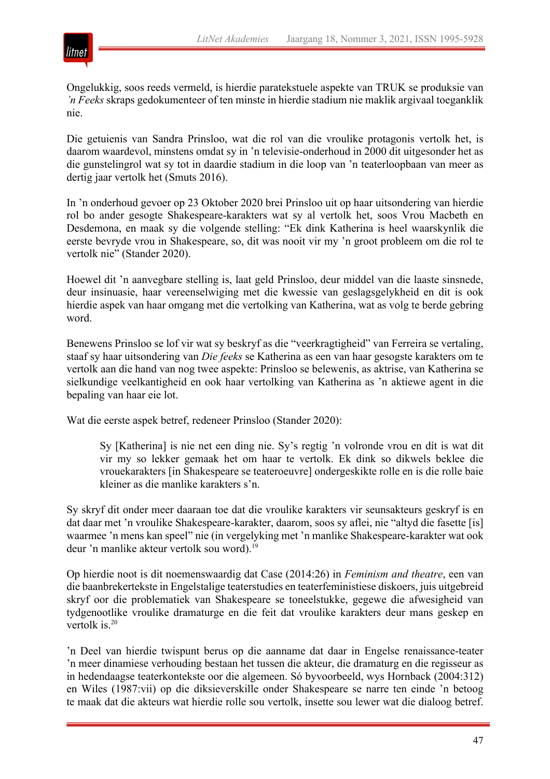

Ongelukkig, soos reeds vermeld, is hierdie paratekstuele aspekte van TRUK se produksie van *'n Feeks* skraps gedokumenteer of ten minste in hierdie stadium nie maklik argivaal toeganklik nie.

Die getuienis van Sandra Prinsloo, wat die rol van die vroulike protagonis vertolk het, is daarom waardevol, minstens omdat sy in 'n televisie-onderhoud in 2000 dit uitgesonder het as die gunstelingrol wat sy tot in daardie stadium in die loop van 'n teaterloopbaan van meer as dertig jaar vertolk het (Smuts 2016).

In 'n onderhoud gevoer op 23 Oktober 2020 brei Prinsloo uit op haar uitsondering van hierdie rol bo ander gesogte Shakespeare-karakters wat sy al vertolk het, soos Vrou Macbeth en Desdemona, en maak sy die volgende stelling: "Ek dink Katherina is heel waarskynlik die eerste bevryde vrou in Shakespeare, so, dit was nooit vir my 'n groot probleem om die rol te vertolk nie" (Stander 2020).

Hoewel dit 'n aanvegbare stelling is, laat geld Prinsloo, deur middel van die laaste sinsnede, deur insinuasie, haar vereenselwiging met die kwessie van geslagsgelykheid en dit is ook hierdie aspek van haar omgang met die vertolking van Katherina, wat as volg te berde gebring word.

Benewens Prinsloo se lof vir wat sy beskryf as die "veerkragtigheid" van Ferreira se vertaling, staaf sy haar uitsondering van *Die feeks* se Katherina as een van haar gesogste karakters om te vertolk aan die hand van nog twee aspekte: Prinsloo se belewenis, as aktrise, van Katherina se sielkundige veelkantigheid en ook haar vertolking van Katherina as 'n aktiewe agent in die bepaling van haar eie lot.

Wat die eerste aspek betref, redeneer Prinsloo (Stander 2020):

Sy [Katherina] is nie net een ding nie. Sy's regtig 'n volronde vrou en dít is wat dit vir my so lekker gemaak het om haar te vertolk. Ek dink so dikwels beklee die vrouekarakters [in Shakespeare se teateroeuvre] ondergeskikte rolle en is die rolle baie kleiner as die manlike karakters s'n.

Sy skryf dit onder meer daaraan toe dat die vroulike karakters vir seunsakteurs geskryf is en dat daar met 'n vroulike Shakespeare-karakter, daarom, soos sy aflei, nie "altyd die fasette [is] waarmee 'n mens kan speel" nie (in vergelyking met 'n manlike Shakespeare-karakter wat ook deur 'n manlike akteur vertolk sou word).<sup>19</sup>

Op hierdie noot is dit noemenswaardig dat Case (2014:26) in *Feminism and theatre*, een van die baanbrekertekste in Engelstalige teaterstudies en teaterfeministiese diskoers, juis uitgebreid skryf oor die problematiek van Shakespeare se toneelstukke, gegewe die afwesigheid van tydgenootlike vroulike dramaturge en die feit dat vroulike karakters deur mans geskep en vertolk is.<sup>20</sup>

'n Deel van hierdie twispunt berus op die aanname dat daar in Engelse renaissance-teater 'n meer dinamiese verhouding bestaan het tussen die akteur, die dramaturg en die regisseur as in hedendaagse teaterkontekste oor die algemeen. Só byvoorbeeld, wys Hornback (2004:312) en Wiles (1987:vii) op die diksieverskille onder Shakespeare se narre ten einde 'n betoog te maak dat die akteurs wat hierdie rolle sou vertolk, insette sou lewer wat die dialoog betref.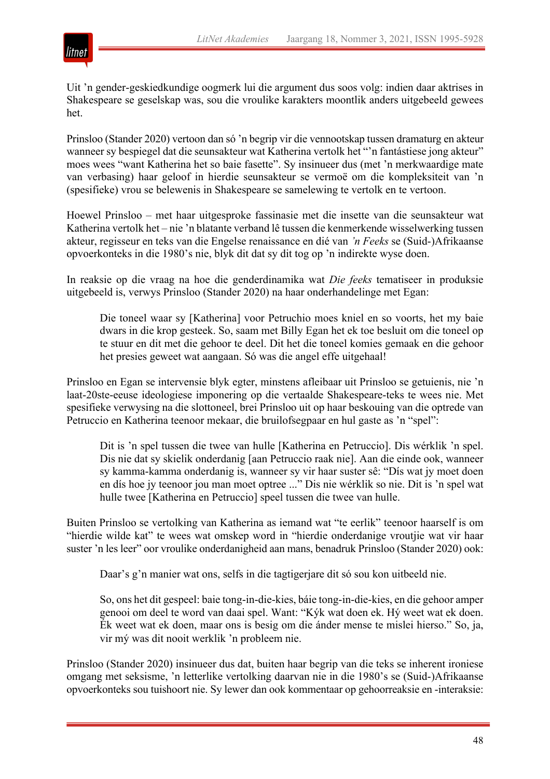

Uit 'n gender-geskiedkundige oogmerk lui die argument dus soos volg: indien daar aktrises in Shakespeare se geselskap was, sou die vroulike karakters moontlik anders uitgebeeld gewees het.

Prinsloo (Stander 2020) vertoon dan só 'n begrip vir die vennootskap tussen dramaturg en akteur wanneer sy bespiegel dat die seunsakteur wat Katherina vertolk het "'n fantástiese jong akteur" moes wees "want Katherina het so baie fasette". Sy insinueer dus (met 'n merkwaardige mate van verbasing) haar geloof in hierdie seunsakteur se vermoë om die kompleksiteit van 'n (spesifieke) vrou se belewenis in Shakespeare se samelewing te vertolk en te vertoon.

Hoewel Prinsloo – met haar uitgesproke fassinasie met die insette van die seunsakteur wat Katherina vertolk het – nie 'n blatante verband lê tussen die kenmerkende wisselwerking tussen akteur, regisseur en teks van die Engelse renaissance en dié van *'n Feeks* se (Suid-)Afrikaanse opvoerkonteks in die 1980's nie, blyk dit dat sy dit tog op 'n indirekte wyse doen.

In reaksie op die vraag na hoe die genderdinamika wat *Die feeks* tematiseer in produksie uitgebeeld is, verwys Prinsloo (Stander 2020) na haar onderhandelinge met Egan:

Die toneel waar sy [Katherina] voor Petruchio moes kniel en so voorts, het my baie dwars in die krop gesteek. So, saam met Billy Egan het ek toe besluit om die toneel op te stuur en dit met die gehoor te deel. Dit het die toneel komies gemaak en die gehoor het presies geweet wat aangaan. Só was die angel effe uitgehaal!

Prinsloo en Egan se intervensie blyk egter, minstens afleibaar uit Prinsloo se getuienis, nie 'n laat-20ste-eeuse ideologiese imponering op die vertaalde Shakespeare-teks te wees nie. Met spesifieke verwysing na die slottoneel, brei Prinsloo uit op haar beskouing van die optrede van Petruccio en Katherina teenoor mekaar, die bruilofsegpaar en hul gaste as 'n "spel":

Dit is 'n spel tussen die twee van hulle [Katherina en Petruccio]. Dis wérklik 'n spel. Dis nie dat sy skielik onderdanig [aan Petruccio raak nie]. Aan die einde ook, wanneer sy kamma-kamma onderdanig is, wanneer sy vir haar suster sê: "Dís wat jy moet doen en dís hoe jy teenoor jou man moet optree ..." Dis nie wérklik so nie. Dit is 'n spel wat hulle twee [Katherina en Petruccio] speel tussen die twee van hulle.

Buiten Prinsloo se vertolking van Katherina as iemand wat "te eerlik" teenoor haarself is om "hierdie wilde kat" te wees wat omskep word in "hierdie onderdanige vroutjie wat vir haar suster 'n les leer" oor vroulike onderdanigheid aan mans, benadruk Prinsloo (Stander 2020) ook:

Daar's g'n manier wat ons, selfs in die tagtigerjare dit só sou kon uitbeeld nie.

So, ons het dit gespeel: baie tong-in-die-kies, báie tong-in-die-kies, en die gehoor amper genooi om deel te word van daai spel. Want: "Kýk wat doen ek. Hý weet wat ek doen. Ék weet wat ek doen, maar ons is besig om die ánder mense te mislei hierso." So, ja, vir mý was dit nooit werklik 'n probleem nie.

Prinsloo (Stander 2020) insinueer dus dat, buiten haar begrip van die teks se inherent ironiese omgang met seksisme, 'n letterlike vertolking daarvan nie in die 1980's se (Suid-)Afrikaanse opvoerkonteks sou tuishoort nie. Sy lewer dan ook kommentaar op gehoorreaksie en -interaksie: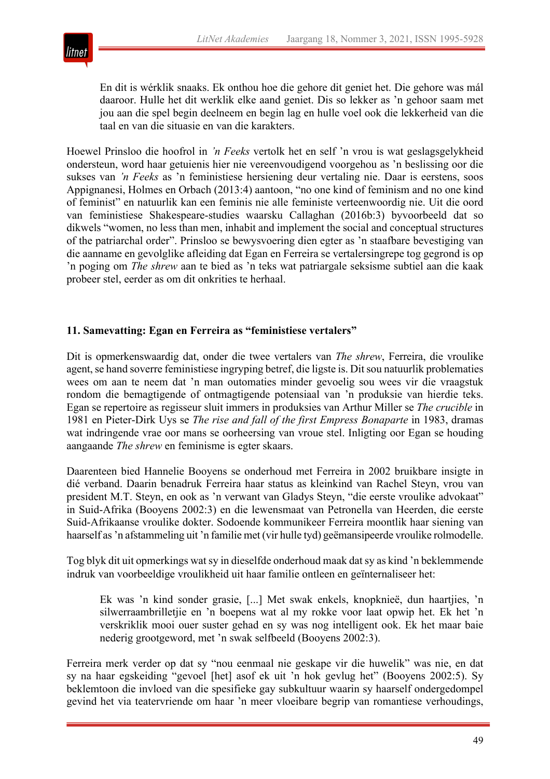

En dit is wérklik snaaks. Ek onthou hoe die gehore dit geniet het. Die gehore was mál daaroor. Hulle het dit werklik elke aand geniet. Dis so lekker as 'n gehoor saam met jou aan die spel begin deelneem en begin lag en hulle voel ook die lekkerheid van die taal en van die situasie en van die karakters.

Hoewel Prinsloo die hoofrol in *'n Feeks* vertolk het en self 'n vrou is wat geslagsgelykheid ondersteun, word haar getuienis hier nie vereenvoudigend voorgehou as 'n beslissing oor die sukses van *'n Feeks* as 'n feministiese hersiening deur vertaling nie. Daar is eerstens, soos Appignanesi, Holmes en Orbach (2013:4) aantoon, "no one kind of feminism and no one kind of feminist" en natuurlik kan een feminis nie alle feministe verteenwoordig nie. Uit die oord van feministiese Shakespeare-studies waarsku Callaghan (2016b:3) byvoorbeeld dat so dikwels "women, no less than men, inhabit and implement the social and conceptual structures of the patriarchal order". Prinsloo se bewysvoering dien egter as 'n staafbare bevestiging van die aanname en gevolglike afleiding dat Egan en Ferreira se vertalersingrepe tog gegrond is op 'n poging om *The shrew* aan te bied as 'n teks wat patriargale seksisme subtiel aan die kaak probeer stel, eerder as om dit onkrities te herhaal.

# **11. Samevatting: Egan en Ferreira as "feministiese vertalers"**

Dit is opmerkenswaardig dat, onder die twee vertalers van *The shrew*, Ferreira, die vroulike agent, se hand soverre feministiese ingryping betref, die ligste is. Dit sou natuurlik problematies wees om aan te neem dat 'n man outomaties minder gevoelig sou wees vir die vraagstuk rondom die bemagtigende of ontmagtigende potensiaal van 'n produksie van hierdie teks. Egan se repertoire as regisseur sluit immers in produksies van Arthur Miller se *The crucible* in 1981 en Pieter-Dirk Uys se *The rise and fall of the first Empress Bonaparte* in 1983, dramas wat indringende vrae oor mans se oorheersing van vroue stel. Inligting oor Egan se houding aangaande *The shrew* en feminisme is egter skaars.

Daarenteen bied Hannelie Booyens se onderhoud met Ferreira in 2002 bruikbare insigte in dié verband. Daarin benadruk Ferreira haar status as kleinkind van Rachel Steyn, vrou van president M.T. Steyn, en ook as 'n verwant van Gladys Steyn, "die eerste vroulike advokaat" in Suid-Afrika (Booyens 2002:3) en die lewensmaat van Petronella van Heerden, die eerste Suid-Afrikaanse vroulike dokter. Sodoende kommunikeer Ferreira moontlik haar siening van haarself as 'n afstammeling uit 'n familie met (vir hulle tyd) geëmansipeerde vroulike rolmodelle.

Tog blyk dit uit opmerkings wat sy in dieselfde onderhoud maak dat sy as kind 'n beklemmende indruk van voorbeeldige vroulikheid uit haar familie ontleen en geïnternaliseer het:

Ek was 'n kind sonder grasie, [...] Met swak enkels, knopknieë, dun haartjies, 'n silwerraambrilletjie en 'n boepens wat al my rokke voor laat opwip het. Ek het 'n verskriklik mooi ouer suster gehad en sy was nog intelligent ook. Ek het maar baie nederig grootgeword, met 'n swak selfbeeld (Booyens 2002:3).

Ferreira merk verder op dat sy "nou eenmaal nie geskape vir die huwelik" was nie, en dat sy na haar egskeiding "gevoel [het] asof ek uit 'n hok gevlug het" (Booyens 2002:5). Sy beklemtoon die invloed van die spesifieke gay subkultuur waarin sy haarself ondergedompel gevind het via teatervriende om haar 'n meer vloeibare begrip van romantiese verhoudings,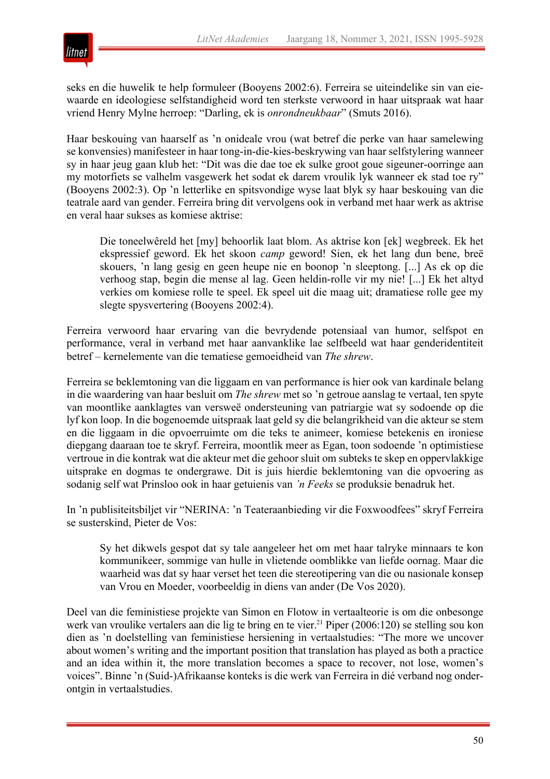

seks en die huwelik te help formuleer (Booyens 2002:6). Ferreira se uiteindelike sin van eiewaarde en ideologiese selfstandigheid word ten sterkste verwoord in haar uitspraak wat haar vriend Henry Mylne herroep: "Darling, ek is *onrondneukbaar*" (Smuts 2016).

Haar beskouing van haarself as 'n onideale vrou (wat betref die perke van haar samelewing se konvensies) manifesteer in haar tong-in-die-kies-beskrywing van haar selfstylering wanneer sy in haar jeug gaan klub het: "Dit was die dae toe ek sulke groot goue sigeuner-oorringe aan my motorfiets se valhelm vasgewerk het sodat ek darem vroulik lyk wanneer ek stad toe ry" (Booyens 2002:3). Op 'n letterlike en spitsvondige wyse laat blyk sy haar beskouing van die teatrale aard van gender. Ferreira bring dit vervolgens ook in verband met haar werk as aktrise en veral haar sukses as komiese aktrise:

Die toneelwêreld het [my] behoorlik laat blom. As aktrise kon [ek] wegbreek. Ek het ekspressief geword. Ek het skoon *camp* geword! Sien, ek het lang dun bene, breë skouers, 'n lang gesig en geen heupe nie en boonop 'n sleeptong. [...] As ek op die verhoog stap, begin die mense al lag. Geen heldin-rolle vir my nie! [...] Ek het altyd verkies om komiese rolle te speel. Ek speel uit die maag uit; dramatiese rolle gee my slegte spysvertering (Booyens 2002:4).

Ferreira verwoord haar ervaring van die bevrydende potensiaal van humor, selfspot en performance, veral in verband met haar aanvanklike lae selfbeeld wat haar genderidentiteit betref – kernelemente van die tematiese gemoeidheid van *The shrew*.

Ferreira se beklemtoning van die liggaam en van performance is hier ook van kardinale belang in die waardering van haar besluit om *The shrew* met so 'n getroue aanslag te vertaal, ten spyte van moontlike aanklagtes van versweë ondersteuning van patriargie wat sy sodoende op die lyf kon loop. In die bogenoemde uitspraak laat geld sy die belangrikheid van die akteur se stem en die liggaam in die opvoerruimte om die teks te animeer, komiese betekenis en ironiese diepgang daaraan toe te skryf. Ferreira, moontlik meer as Egan, toon sodoende 'n optimistiese vertroue in die kontrak wat die akteur met die gehoor sluit om subteks te skep en oppervlakkige uitsprake en dogmas te ondergrawe. Dit is juis hierdie beklemtoning van die opvoering as sodanig self wat Prinsloo ook in haar getuienis van *'n Feeks* se produksie benadruk het.

In 'n publisiteitsbiljet vir "NERINA: 'n Teateraanbieding vir die Foxwoodfees" skryf Ferreira se susterskind, Pieter de Vos:

Sy het dikwels gespot dat sy tale aangeleer het om met haar talryke minnaars te kon kommunikeer, sommige van hulle in vlietende oomblikke van liefde oornag. Maar die waarheid was dat sy haar verset het teen die stereotipering van die ou nasionale konsep van Vrou en Moeder, voorbeeldig in diens van ander (De Vos 2020).

Deel van die feministiese projekte van Simon en Flotow in vertaalteorie is om die onbesonge werk van vroulike vertalers aan die lig te bring en te vier.<sup>21</sup> Piper (2006:120) se stelling sou kon dien as 'n doelstelling van feministiese hersiening in vertaalstudies: "The more we uncover about women's writing and the important position that translation has played as both a practice and an idea within it, the more translation becomes a space to recover, not lose, women's voices". Binne 'n (Suid-)Afrikaanse konteks is die werk van Ferreira in dié verband nog onderontgin in vertaalstudies.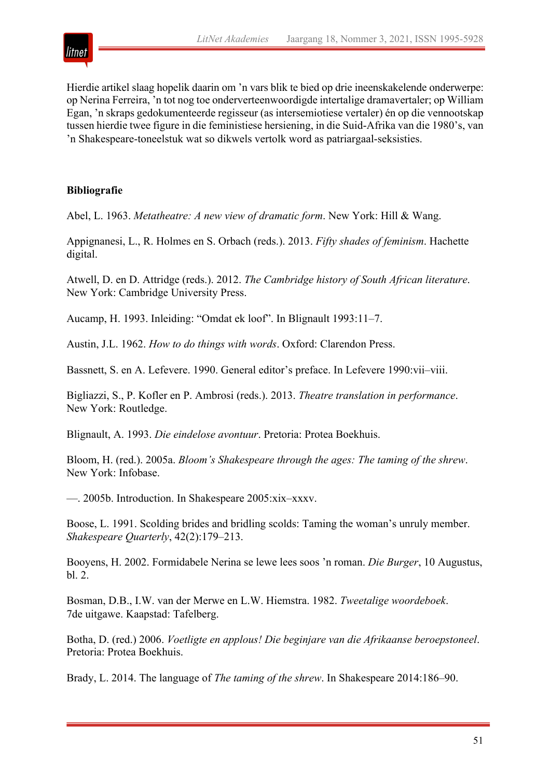

Hierdie artikel slaag hopelik daarin om 'n vars blik te bied op drie ineenskakelende onderwerpe: op Nerina Ferreira, 'n tot nog toe onderverteenwoordigde intertalige dramavertaler; op William Egan, 'n skraps gedokumenteerde regisseur (as intersemiotiese vertaler) én op die vennootskap tussen hierdie twee figure in die feministiese hersiening, in die Suid-Afrika van die 1980's, van 'n Shakespeare-toneelstuk wat so dikwels vertolk word as patriargaal-seksisties.

# **Bibliografie**

Abel, L. 1963. *Metatheatre: A new view of dramatic form*. New York: Hill & Wang.

Appignanesi, L., R. Holmes en S. Orbach (reds.). 2013. *Fifty shades of feminism*. Hachette digital.

Atwell, D. en D. Attridge (reds.). 2012. *The Cambridge history of South African literature*. New York: Cambridge University Press.

Aucamp, H. 1993. Inleiding: "Omdat ek loof". In Blignault 1993:11–7.

Austin, J.L. 1962. *How to do things with words*. Oxford: Clarendon Press.

Bassnett, S. en A. Lefevere. 1990. General editor's preface. In Lefevere 1990:vii–viii.

Bigliazzi, S., P. Kofler en P. Ambrosi (reds.). 2013. *Theatre translation in performance*. New York: Routledge.

Blignault, A. 1993. *Die eindelose avontuur*. Pretoria: Protea Boekhuis.

Bloom, H. (red.). 2005a. *Bloom's Shakespeare through the ages: The taming of the shrew*. New York: Infobase.

—. 2005b. Introduction. In Shakespeare 2005:xix–xxxv.

Boose, L. 1991. Scolding brides and bridling scolds: Taming the woman's unruly member. *Shakespeare Quarterly*, 42(2):179–213.

Booyens, H. 2002. Formidabele Nerina se lewe lees soos 'n roman. *Die Burger*, 10 Augustus,  $h1.2$ 

Bosman, D.B., I.W. van der Merwe en L.W. Hiemstra. 1982. *Tweetalige woordeboek*. 7de uitgawe. Kaapstad: Tafelberg.

Botha, D. (red.) 2006. *Voetligte en applous! Die beginjare van die Afrikaanse beroepstoneel*. Pretoria: Protea Boekhuis.

Brady, L. 2014. The language of *The taming of the shrew*. In Shakespeare 2014:186–90.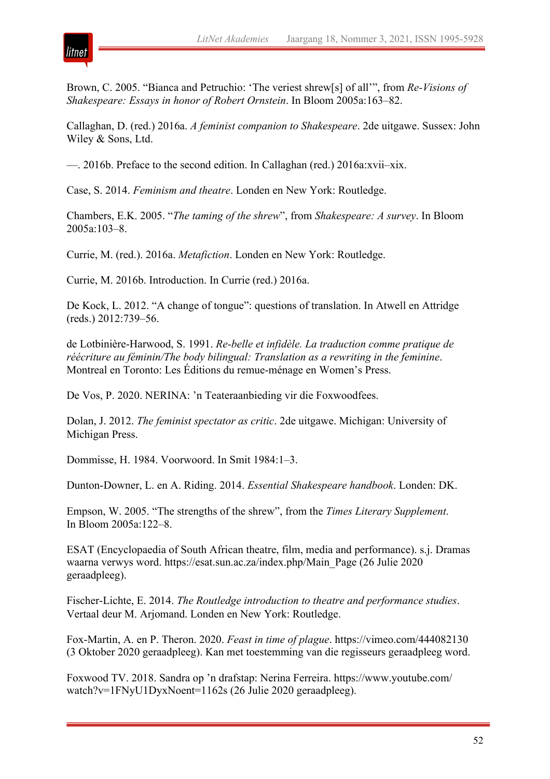

Brown, C. 2005. "Bianca and Petruchio: 'The veriest shrew[s] of all'", from *Re-Visions of Shakespeare: Essays in honor of Robert Ornstein*. In Bloom 2005a:163–82.

Callaghan, D. (red.) 2016a. *A feminist companion to Shakespeare*. 2de uitgawe. Sussex: John Wiley & Sons, Ltd.

—. 2016b. Preface to the second edition. In Callaghan (red.) 2016a:xvii–xix.

Case, S. 2014. *Feminism and theatre*. Londen en New York: Routledge.

Chambers, E.K. 2005. "*The taming of the shrew*", from *Shakespeare: A survey*. In Bloom 2005a:103–8.

Currie, M. (red.). 2016a. *Metafiction*. Londen en New York: Routledge.

Currie, M. 2016b. Introduction. In Currie (red.) 2016a.

De Kock, L. 2012. "A change of tongue": questions of translation. In Atwell en Attridge (reds.) 2012:739–56.

de Lotbinière-Harwood, S. 1991. *Re-belle et infidèle. La traduction comme pratique de réécriture au féminin/The body bilingual: Translation as a rewriting in the feminine*. Montreal en Toronto: Les Éditions du remue-ménage en Women's Press.

De Vos, P. 2020. NERINA: 'n Teateraanbieding vir die Foxwoodfees.

Dolan, J. 2012. *The feminist spectator as critic*. 2de uitgawe. Michigan: University of Michigan Press.

Dommisse, H. 1984. Voorwoord. In Smit 1984:1–3.

Dunton-Downer, L. en A. Riding. 2014. *Essential Shakespeare handbook*. Londen: DK.

Empson, W. 2005. "The strengths of the shrew", from the *Times Literary Supplement*. In Bloom 2005a:122–8.

ESAT (Encyclopaedia of South African theatre, film, media and performance). s.j. Dramas waarna verwys word. https://esat.sun.ac.za/index.php/Main\_Page (26 Julie 2020 geraadpleeg).

Fischer-Lichte, E. 2014. *The Routledge introduction to theatre and performance studies*. Vertaal deur M. Arjomand. Londen en New York: Routledge.

Fox-Martin, A. en P. Theron. 2020. *Feast in time of plague*. https://vimeo.com/444082130 (3 Oktober 2020 geraadpleeg). Kan met toestemming van die regisseurs geraadpleeg word.

Foxwood TV. 2018. Sandra op 'n drafstap: Nerina Ferreira. https://www.youtube.com/ watch?v=1FNyU1DyxNoent=1162s (26 Julie 2020 geraadpleeg).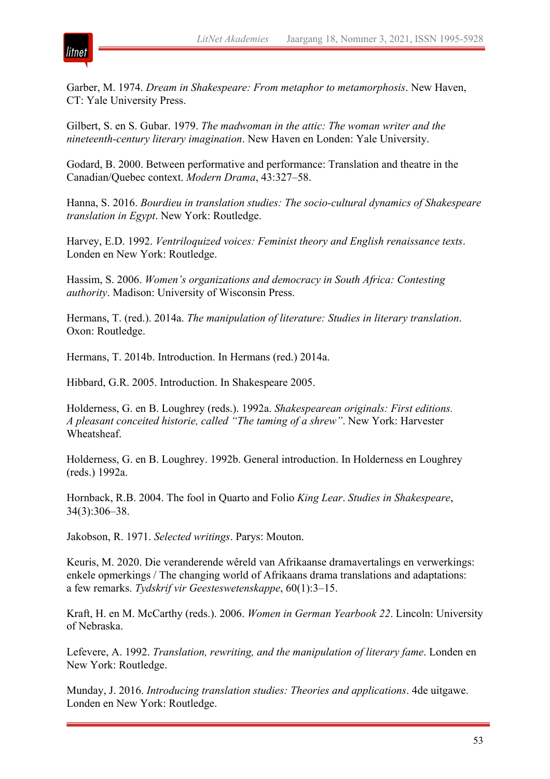

Garber, M. 1974. *Dream in Shakespeare: From metaphor to metamorphosis*. New Haven, CT: Yale University Press.

Gilbert, S. en S. Gubar. 1979. *The madwoman in the attic: The woman writer and the nineteenth-century literary imagination*. New Haven en Londen: Yale University.

Godard, B. 2000. Between performative and performance: Translation and theatre in the Canadian/Quebec context. *Modern Drama*, 43:327–58.

Hanna, S. 2016. *Bourdieu in translation studies: The socio-cultural dynamics of Shakespeare translation in Egypt*. New York: Routledge.

Harvey, E.D. 1992. *Ventriloquized voices: Feminist theory and English renaissance texts*. Londen en New York: Routledge.

Hassim, S. 2006. *Women's organizations and democracy in South Africa: Contesting authority*. Madison: University of Wisconsin Press.

Hermans, T. (red.). 2014a. *The manipulation of literature: Studies in literary translation*. Oxon: Routledge.

Hermans, T. 2014b. Introduction. In Hermans (red.) 2014a.

Hibbard, G.R. 2005. Introduction. In Shakespeare 2005.

Holderness, G. en B. Loughrey (reds.). 1992a. *Shakespearean originals: First editions. A pleasant conceited historie, called "The taming of a shrew"*. New York: Harvester Wheatsheaf.

Holderness, G. en B. Loughrey. 1992b. General introduction. In Holderness en Loughrey (reds.) 1992a.

Hornback, R.B. 2004. The fool in Quarto and Folio *King Lear*. *Studies in Shakespeare*, 34(3):306–38.

Jakobson, R. 1971. *Selected writings*. Parys: Mouton.

Keuris, M. 2020. Die veranderende wêreld van Afrikaanse dramavertalings en verwerkings: enkele opmerkings / The changing world of Afrikaans drama translations and adaptations: a few remarks. *Tydskrif vir Geesteswetenskappe*, 60(1):3–15.

Kraft, H. en M. McCarthy (reds.). 2006. *Women in German Yearbook 22*. Lincoln: University of Nebraska.

Lefevere, A. 1992. *Translation, rewriting, and the manipulation of literary fame*. Londen en New York: Routledge.

Munday, J. 2016. *Introducing translation studies: Theories and applications*. 4de uitgawe. Londen en New York: Routledge.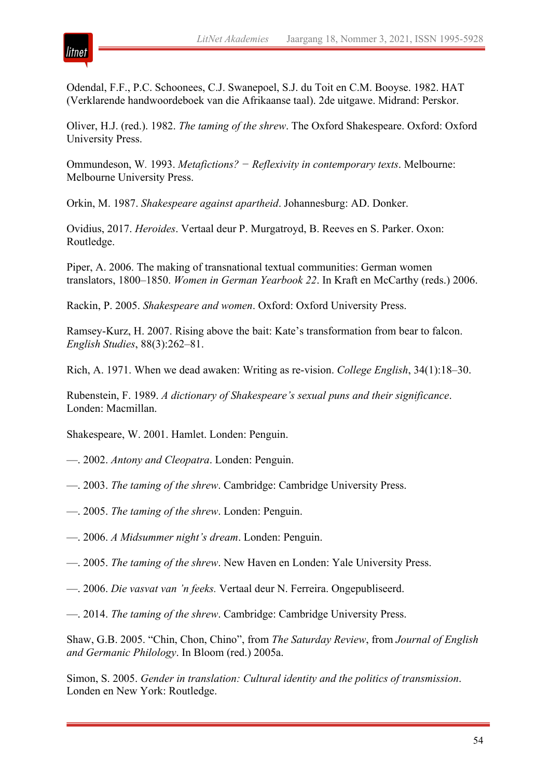

Odendal, F.F., P.C. Schoonees, C.J. Swanepoel, S.J. du Toit en C.M. Booyse. 1982. HAT (Verklarende handwoordeboek van die Afrikaanse taal). 2de uitgawe. Midrand: Perskor.

Oliver, H.J. (red.). 1982. *The taming of the shrew*. The Oxford Shakespeare. Oxford: Oxford University Press.

Ommundeson, W*.* 1993. *Metafictions? − Reflexivity in contemporary texts*. Melbourne: Melbourne University Press.

Orkin, M. 1987. *Shakespeare against apartheid*. Johannesburg: AD. Donker.

Ovidius, 2017. *Heroides*. Vertaal deur P. Murgatroyd, B. Reeves en S. Parker. Oxon: Routledge.

Piper, A. 2006. The making of transnational textual communities: German women translators, 1800–1850. *Women in German Yearbook 22*. In Kraft en McCarthy (reds.) 2006.

Rackin, P. 2005. *Shakespeare and women*. Oxford: Oxford University Press.

Ramsey-Kurz, H. 2007. Rising above the bait: Kate's transformation from bear to falcon. *English Studies*, 88(3):262–81.

Rich, A. 1971. When we dead awaken: Writing as re-vision. *College English*, 34(1):18–30.

Rubenstein, F. 1989. *A dictionary of Shakespeare's sexual puns and their significance*. Londen: Macmillan.

Shakespeare, W. 2001. Hamlet. Londen: Penguin.

- —. 2002. *Antony and Cleopatra*. Londen: Penguin.
- —. 2003. *The taming of the shrew*. Cambridge: Cambridge University Press.
- —. 2005. *The taming of the shrew*. Londen: Penguin.
- —. 2006. *A Midsummer night's dream*. Londen: Penguin.
- —. 2005. *The taming of the shrew*. New Haven en Londen: Yale University Press.
- —. 2006. *Die vasvat van 'n feeks.* Vertaal deur N. Ferreira. Ongepubliseerd.
- —. 2014. *The taming of the shrew*. Cambridge: Cambridge University Press.

Shaw, G.B. 2005. "Chin, Chon, Chino", from *The Saturday Review*, from *Journal of English and Germanic Philology*. In Bloom (red.) 2005a.

Simon, S. 2005. *Gender in translation: Cultural identity and the politics of transmission*. Londen en New York: Routledge.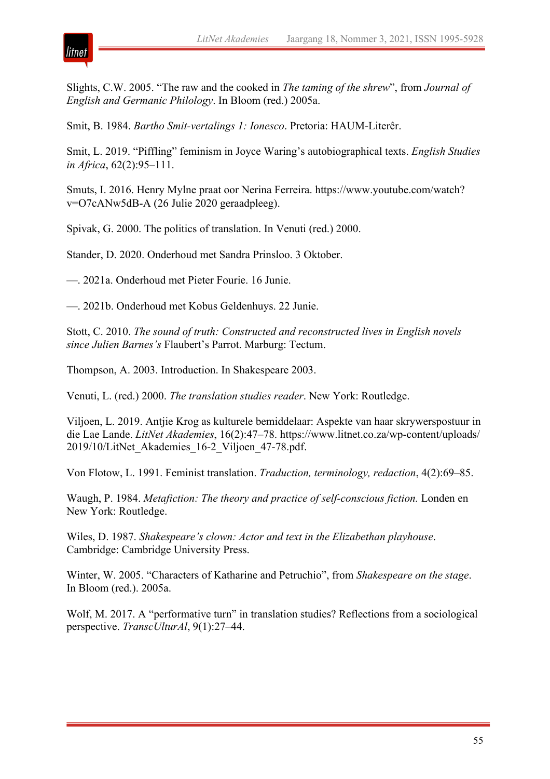

Slights, C.W. 2005. "The raw and the cooked in *The taming of the shrew*", from *Journal of English and Germanic Philology*. In Bloom (red.) 2005a.

Smit, B. 1984. *Bartho Smit-vertalings 1: Ionesco*. Pretoria: HAUM-Literêr.

Smit, L. 2019. "Piffling" feminism in Joyce Waring's autobiographical texts. *English Studies in Africa*, 62(2):95–111.

Smuts, I. 2016. Henry Mylne praat oor Nerina Ferreira. https://www.youtube.com/watch? v=O7cANw5dB-A (26 Julie 2020 geraadpleeg).

Spivak, G. 2000. The politics of translation. In Venuti (red.) 2000.

Stander, D. 2020. Onderhoud met Sandra Prinsloo. 3 Oktober.

—. 2021a. Onderhoud met Pieter Fourie. 16 Junie.

—. 2021b. Onderhoud met Kobus Geldenhuys. 22 Junie.

Stott, C. 2010. *The sound of truth: Constructed and reconstructed lives in English novels since Julien Barnes's* Flaubert's Parrot. Marburg: Tectum.

Thompson, A. 2003. Introduction. In Shakespeare 2003.

Venuti, L. (red.) 2000. *The translation studies reader*. New York: Routledge.

Viljoen, L. 2019. Antjie Krog as kulturele bemiddelaar: Aspekte van haar skrywerspostuur in die Lae Lande. *LitNet Akademies*, 16(2):47–78. https://www.litnet.co.za/wp-content/uploads/ 2019/10/LitNet\_Akademies\_16-2\_Viljoen\_47-78.pdf.

Von Flotow, L. 1991. Feminist translation. *Traduction, terminology, redaction*, 4(2):69–85.

Waugh, P. 1984. *Metafiction: The theory and practice of self-conscious fiction.* Londen en New York: Routledge.

Wiles, D. 1987. *Shakespeare's clown: Actor and text in the Elizabethan playhouse*. Cambridge: Cambridge University Press.

Winter, W. 2005. "Characters of Katharine and Petruchio", from *Shakespeare on the stage*. In Bloom (red.). 2005a.

Wolf, M. 2017. A "performative turn" in translation studies? Reflections from a sociological perspective. *TranscUlturAl*, 9(1):27–44.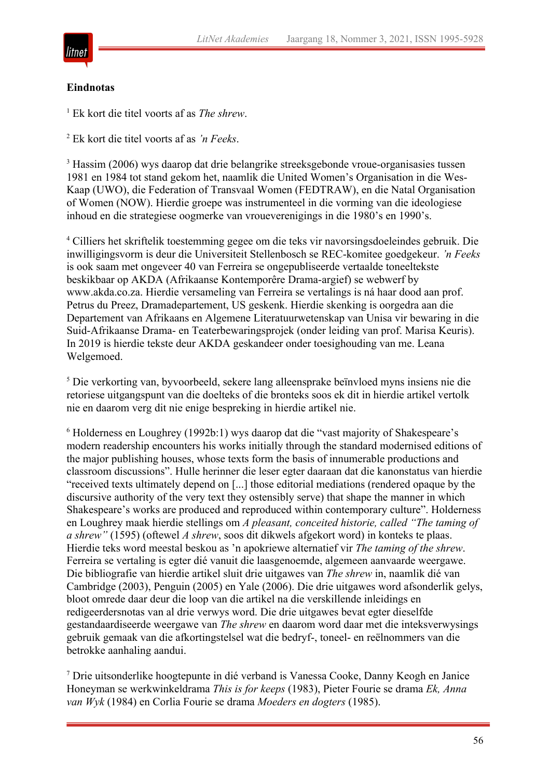

#### **Eindnotas**

<sup>1</sup> Ek kort die titel voorts af as *The shrew*.

<sup>2</sup> Ek kort die titel voorts af as *'n Feeks*.

<sup>3</sup> Hassim (2006) wys daarop dat drie belangrike streeksgebonde vroue-organisasies tussen 1981 en 1984 tot stand gekom het, naamlik die United Women's Organisation in die Wes-Kaap (UWO), die Federation of Transvaal Women (FEDTRAW), en die Natal Organisation of Women (NOW). Hierdie groepe was instrumenteel in die vorming van die ideologiese inhoud en die strategiese oogmerke van vroueverenigings in die 1980's en 1990's.

<sup>4</sup> Cilliers het skriftelik toestemming gegee om die teks vir navorsingsdoeleindes gebruik. Die inwilligingsvorm is deur die Universiteit Stellenbosch se REC-komitee goedgekeur. *'n Feeks* is ook saam met ongeveer 40 van Ferreira se ongepubliseerde vertaalde toneeltekste beskikbaar op AKDA (Afrikaanse Kontemporêre Drama-argief) se webwerf by www.akda.co.za. Hierdie versameling van Ferreira se vertalings is ná haar dood aan prof. Petrus du Preez, Dramadepartement, US geskenk. Hierdie skenking is oorgedra aan die Departement van Afrikaans en Algemene Literatuurwetenskap van Unisa vir bewaring in die Suid-Afrikaanse Drama- en Teaterbewaringsprojek (onder leiding van prof. Marisa Keuris). In 2019 is hierdie tekste deur AKDA geskandeer onder toesighouding van me. Leana Welgemoed.

<sup>5</sup> Die verkorting van, byvoorbeeld, sekere lang alleensprake beïnvloed myns insiens nie die retoriese uitgangspunt van die doelteks of die bronteks soos ek dit in hierdie artikel vertolk nie en daarom verg dit nie enige bespreking in hierdie artikel nie.

<sup>6</sup> Holderness en Loughrey (1992b:1) wys daarop dat die "vast majority of Shakespeare's modern readership encounters his works initially through the standard modernised editions of the major publishing houses, whose texts form the basis of innumerable productions and classroom discussions". Hulle herinner die leser egter daaraan dat die kanonstatus van hierdie "received texts ultimately depend on [...] those editorial mediations (rendered opaque by the discursive authority of the very text they ostensibly serve) that shape the manner in which Shakespeare's works are produced and reproduced within contemporary culture". Holderness en Loughrey maak hierdie stellings om *A pleasant, conceited historie, called "The taming of a shrew"* (1595) (oftewel *A shrew*, soos dit dikwels afgekort word) in konteks te plaas. Hierdie teks word meestal beskou as 'n apokriewe alternatief vir *The taming of the shrew*. Ferreira se vertaling is egter dié vanuit die laasgenoemde, algemeen aanvaarde weergawe. Die bibliografie van hierdie artikel sluit drie uitgawes van *The shrew* in, naamlik dié van Cambridge (2003), Penguin (2005) en Yale (2006). Die drie uitgawes word afsonderlik gelys, bloot omrede daar deur die loop van die artikel na die verskillende inleidings en redigeerdersnotas van al drie verwys word. Die drie uitgawes bevat egter dieselfde gestandaardiseerde weergawe van *The shrew* en daarom word daar met die inteksverwysings gebruik gemaak van die afkortingstelsel wat die bedryf-, toneel- en reëlnommers van die betrokke aanhaling aandui.

<sup>7</sup> Drie uitsonderlike hoogtepunte in dié verband is Vanessa Cooke, Danny Keogh en Janice Honeyman se werkwinkeldrama *This is for keeps* (1983), Pieter Fourie se drama *Ek, Anna van Wyk* (1984) en Corlia Fourie se drama *Moeders en dogters* (1985).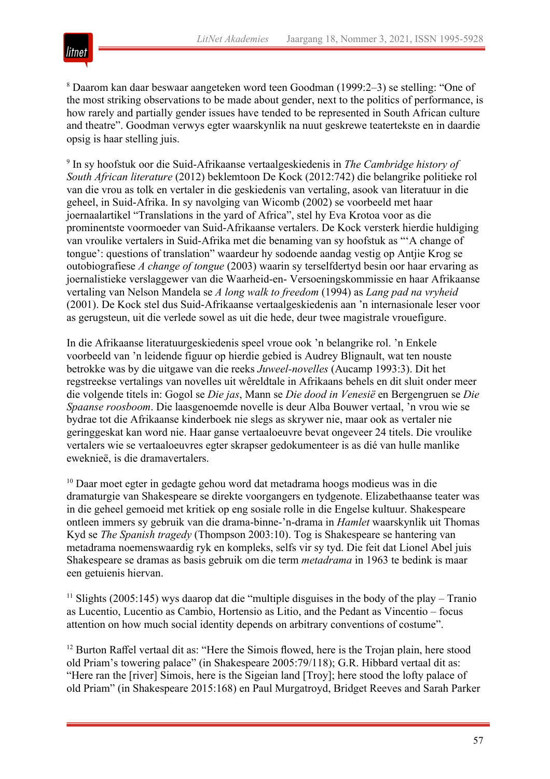

<sup>8</sup> Daarom kan daar beswaar aangeteken word teen Goodman (1999:2–3) se stelling: "One of the most striking observations to be made about gender, next to the politics of performance, is how rarely and partially gender issues have tended to be represented in South African culture and theatre". Goodman verwys egter waarskynlik na nuut geskrewe teatertekste en in daardie opsig is haar stelling juis.

<sup>9</sup> In sy hoofstuk oor die Suid-Afrikaanse vertaalgeskiedenis in *The Cambridge history of South African literature* (2012) beklemtoon De Kock (2012:742) die belangrike politieke rol van die vrou as tolk en vertaler in die geskiedenis van vertaling, asook van literatuur in die geheel, in Suid-Afrika. In sy navolging van Wicomb (2002) se voorbeeld met haar joernaalartikel "Translations in the yard of Africa", stel hy Eva Krotoa voor as die prominentste voormoeder van Suid-Afrikaanse vertalers. De Kock versterk hierdie huldiging van vroulike vertalers in Suid-Afrika met die benaming van sy hoofstuk as "'A change of tongue': questions of translation" waardeur hy sodoende aandag vestig op Antjie Krog se outobiografiese *A change of tongue* (2003) waarin sy terselfdertyd besin oor haar ervaring as joernalistieke verslaggewer van die Waarheid-en- Versoeningskommissie en haar Afrikaanse vertaling van Nelson Mandela se *A long walk to freedom* (1994) as *Lang pad na vryheid* (2001). De Kock stel dus Suid-Afrikaanse vertaalgeskiedenis aan 'n internasionale leser voor as gerugsteun, uit die verlede sowel as uit die hede, deur twee magistrale vrouefigure.

In die Afrikaanse literatuurgeskiedenis speel vroue ook 'n belangrike rol. 'n Enkele voorbeeld van 'n leidende figuur op hierdie gebied is Audrey Blignault, wat ten nouste betrokke was by die uitgawe van die reeks *Juweel-novelles* (Aucamp 1993:3). Dit het regstreekse vertalings van novelles uit wêreldtale in Afrikaans behels en dit sluit onder meer die volgende titels in: Gogol se *Die jas*, Mann se *Die dood in Venesië* en Bergengruen se *Die Spaanse roosboom*. Die laasgenoemde novelle is deur Alba Bouwer vertaal, 'n vrou wie se bydrae tot die Afrikaanse kinderboek nie slegs as skrywer nie, maar ook as vertaler nie geringgeskat kan word nie. Haar ganse vertaaloeuvre bevat ongeveer 24 titels. Die vroulike vertalers wie se vertaaloeuvres egter skrapser gedokumenteer is as dié van hulle manlike eweknieë, is die dramavertalers.

<sup>10</sup> Daar moet egter in gedagte gehou word dat metadrama hoogs modieus was in die dramaturgie van Shakespeare se direkte voorgangers en tydgenote. Elizabethaanse teater was in die geheel gemoeid met kritiek op eng sosiale rolle in die Engelse kultuur. Shakespeare ontleen immers sy gebruik van die drama-binne-'n-drama in *Hamlet* waarskynlik uit Thomas Kyd se *The Spanish tragedy* (Thompson 2003:10). Tog is Shakespeare se hantering van metadrama noemenswaardig ryk en kompleks, selfs vir sy tyd. Die feit dat Lionel Abel juis Shakespeare se dramas as basis gebruik om die term *metadrama* in 1963 te bedink is maar een getuienis hiervan.

<sup>11</sup> Slights (2005:145) wys daarop dat die "multiple disguises in the body of the play – Tranio as Lucentio, Lucentio as Cambio, Hortensio as Litio, and the Pedant as Vincentio – focus attention on how much social identity depends on arbitrary conventions of costume".

<sup>12</sup> Burton Raffel vertaal dit as: "Here the Simois flowed, here is the Trojan plain, here stood old Priam's towering palace" (in Shakespeare 2005:79/118); G.R. Hibbard vertaal dit as: "Here ran the [river] Simois, here is the Sigeian land [Troy]; here stood the lofty palace of old Priam" (in Shakespeare 2015:168) en Paul Murgatroyd, Bridget Reeves and Sarah Parker